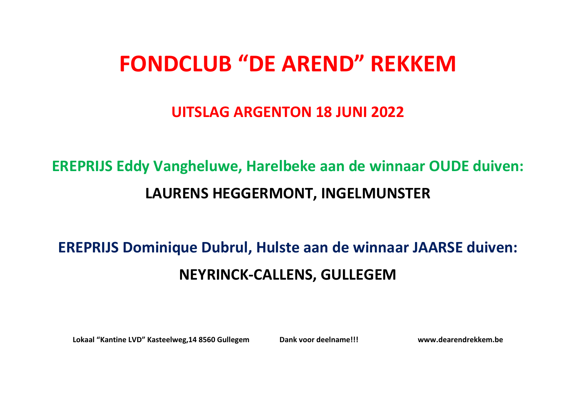# **FONDCLUB "DE AREND" REKKEM**

#### **UITSLAG ARGENTON 18 JUNI 2022**

## **EREPRIJS Eddy Vangheluwe, Harelbeke aan de winnaar OUDE duiven: LAURENS HEGGERMONT, INGELMUNSTER**

### **EREPRIJS Dominique Dubrul, Hulste aan de winnaar JAARSE duiven: NEYRINCK-CALLENS, GULLEGEM**

**Lokaal "Kantine LVD" Kasteelweg,14 8560 Gullegem Dank voor deelname!!! www.dearendrekkem.be**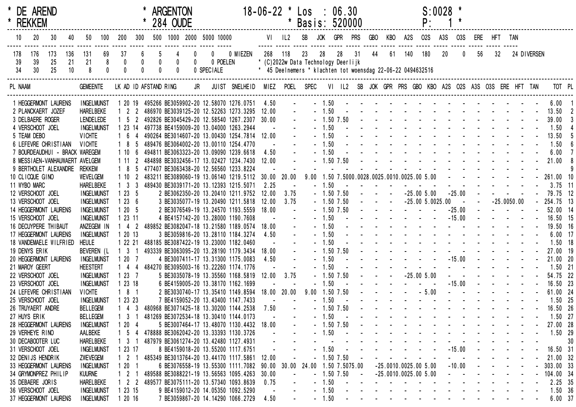| * REKKEM<br>284 OUDE<br>Basis: 520000<br>SB<br>500 1000 2000 5000 10000<br>$VI$ $IL2$<br><b>JOK</b><br><b>GPR</b><br><b>PRS</b><br><b>GBO</b><br><b>02S</b><br>10<br>20<br>30<br>200<br>300<br>KBO<br>A2S<br>A <sub>3</sub> S<br><b>03S</b><br>ERE<br>HFT TAN<br>40<br>50<br>100<br>37<br>268<br>140<br>180<br>20<br>32<br>118<br>23<br>28<br>31<br>44<br>61<br>56<br>176<br>173<br>136<br>69<br>6<br>0 MIEZEN<br>28<br>$\theta$<br>24 DIVERSEN<br>178<br>131<br>0<br>39<br>25<br>21<br>21<br>8<br>0<br>0 POELEN<br>* (C)2022w Data Technology Deerlijk<br>-39<br>0<br>$\mathbf{0}$<br>30<br>25<br>10<br>8<br>34<br>* 45 Deelnemers * klachten tot woensdag 22-06-22 0494632516<br>0 SPECIALE<br>LK AD ID AFSTAND RING<br>JR<br>MIEZ POEL SPEC<br>VI IL2 SB JOK GPR PRS GBO KBO A2S O2S A3S O3S ERE HFT TAN<br>TOT PL<br>PL NAAM<br><b>GEMEENTE</b><br>JUIST SNELHEID<br>the second contract of the second contract of the second second contract of the second second second second second second second second second second second second second second second second second second second second se<br>1 20 19 495266 BE3059902-20 12.58070 1276.0751 4.50<br>$-1.50$<br>$6.00$ 1<br>1 HEGGERMONT LAURENS<br><b>INGELMUNST</b><br>and a straightful and a straight and<br>$-1.50$<br>13.50<br>2 PLANCKAERT JOZEF<br><b>HARELBEKE</b><br>$1 \quad 2 \quad 2$<br>486970 BE3039125-20 12.52263 1273.3295<br>12.00<br>and the second contract of the second<br>$-1.50$ 7.50<br>39.00<br>3 DELBAERE ROGER<br><b>LENDELEDE</b><br>492826 BE3045429-20 12.58540 1267.2307 30.00<br>$1\quad5$<br>$-1.50$<br>1.50<br>4 VERSCHOOT JOEL<br>497738 BE4159009-20 13.04000 1263.2944<br><b>INGELMUNST</b><br>1 23 14<br>and the second contract of the second second the second second second second second second second second second second second second second second second second second second second second second second second second secon<br>$-1.50$<br>13.50<br>5 TEAM DEBO<br>490264 BE3014607-20 13.00430 1254.7814 12.00<br><b>VICHTE</b><br>and the state of the state of the<br>$-1.50$<br>6 LEFEVRE CHRISTIAAN<br><b>VICHTE</b><br>489476 BE3064002-20 13.00110 1254.4770<br>1.50<br>and a series of the series of the series of the series of the series of the series of the series of the series<br>1.50<br>7 BOURDEAUDHUI - BRACK WAREGEM<br>494811 BE3063323-20 13.09090 1239.6618<br>6.00<br>$110$<br>4.50<br>and the state of the state of the state of<br>$-1.50$ 7.50<br>21.00<br>8 MESSIAEN-VANHAUWAERT AVELGEM<br>111<br>484898 BE3032456-17 13.02427 1234.7430<br>12.00<br>9 BERTHOLET ALEXANDRE<br>Rekkem<br>477407 BE3063438-20 12.56560 1233.8224<br>18<br>261.00 10<br>1.50 7.5000.0028.0025.0010.0025.00 5.00<br>30.00 20.00<br>10 CLICQUE GINO<br>483211 BE3089060-19 13.06140 1219.5112<br>9.00<br><b>WEVELGEM</b><br>$110$<br>$3.75$ 11<br>11 WYBO MARC<br>1 <sup>3</sup><br>489430 BE3039171-20 13.12393 1215.5071<br>$-1.50$<br>HARELBEKE<br>2.25<br>$-25.00$<br>$-25.005.00$<br>79.75 12<br>12 VERSCHOOT JOEL<br>1235<br>2 BE3062350-20 13.20410 1211.9752<br>$-1.50$ 7.50<br><b>INGELMUNST</b><br>12.00<br>3.75<br>$-25.0050.00$<br>13 VERSCHOOT JOEL<br>1236<br>$-25.005.0025.00$<br>254.75 13<br><b>INGELMUNST</b><br>3 BE3035077-19 13.20490 1211.5818<br>3.75<br>$-1.50$ 7.50<br>12.00<br>$\sim$ $-$<br>$\blacksquare$<br>$-25.00$<br>$-1.50$ 7.50<br>52.00 14<br>14 HEGGERMONT LAURENS<br><b>INGELMUNST</b><br>1205<br>2 BE3076549-19 13.24570 1193.5559<br>18.00<br>$-15.00$<br>16.50 15<br>15 VERSCHOOT JOEL<br><b>INGELMUNST</b><br>1 23 11<br>4 BE4157142-20 13.28000 1190.7608<br>$-1.50$<br>and the second control of the second<br>$-1.50$<br>19.50 16<br>16 DECUYPERE THIBAUT<br>489852 BE3082047-18 13.21580 1189.0574<br>ANZEGEM IN<br>42<br>18.00<br>the second contract of the second contract of the second second contract of the second second second second second second second second second second second second second second second second second second second second se<br>$-1.50$<br>17 HEGGERMONT LAURENS<br><b>INGELMUNST</b><br>4.50<br>$6.00$ 17<br>1 20 13<br>3 BE3059816-20 13.28110 1184.3274<br>and the second contract of the second second<br>1.50<br>18 VANDEMAELE WILFRIED<br>1 22 21<br>488185 BE3087422-19 13.23000 1182.0460<br>$1.50$ 18<br><b>HEULE</b><br>$-1.50$ 7.50<br>27.00 19<br>19 DENYS ERIK<br>BEVEREN (L<br>1 <sub>3</sub><br>493339 BE3063095-20 13.28190 1179.3434<br>18.00<br>$-15.00$<br>$\Delta \phi = \Delta \phi$<br>21.00 20<br>$-1.50$<br>20 HEGGERMONT LAURENS<br><b>INGELMUNST</b><br>1207<br>4 BE3007411-17 13.31300 1175.0083<br>4.50<br>$-1.50$<br>and a state of the state<br>$1.50$ 21<br>21 MAROY GEERT<br><b>HEESTERT</b><br>484270 BE3095003-16 13.22260 1174.1776<br>$-25.005.00$<br>3.75<br>$-1.50$ 7.50<br>54.75 22<br>22 VERSCHOOT JOEL<br>12.00<br><b>INGELMUNST</b><br>1237<br>5 BE3035078-19 13.35560 1168.5819<br>$-15.00$<br>$\sim 10$<br>16.50 23<br>23 VERSCHOOT JOEL<br>1 23 18<br>$-1.50$<br>$\omega_{\rm{max}}$ and<br>$\sim 10^{-10}$ km $^{-1}$<br><b>INGELMUNST</b><br>6 BE4159005-20 13.38170 1162.1699<br>$-5.00$<br>18.00 20.00<br>and a straight and a<br>24 LEFEVRE CHRISTIAAN<br>181<br>9.00 1.50 7.50<br>61.00 24<br><b>VICHTE</b><br>2 BE3030740-17 13.35410 1149.8594<br>design and a state of the state of the<br>$-1.50$<br>$1.50$ 25<br>25 VERSCHOOT JOEL<br><b>INGELMUNST</b><br>1 23 23<br>7 BE4159052-20 13.43400 1147.7433<br>design and a state of the state of the state of the state of the state of the state of the state of the state of the state of the state of the state of the state of the state of the state of the state of the state of the s<br>26 TRUYAERT ANDRE<br><b>BELLEGEM</b><br>$-1.50$ 7.50<br>16.50 26<br>$1 \t4 \t3$<br>480968 BE3071425-18 13.30200 1144.2538<br>7.50<br>27 HUYS ERIK<br>481269 BE3072534-18 13.30410 1144.0173<br>$-1.50$<br>$1.50$ 27<br><b>BELLEGEM</b><br>- 3<br>$-1.50$ 7.50<br>27.00 28<br>28 HEGGERMONT LAURENS<br><b>INGELMUNST</b><br>1204<br>5 BE3007464-17 13.48070 1130.4432<br>18.00<br>29 VERHEYE RINO<br>AALBEKE<br>478888 BE3062042-20 13.33393 1130.3726<br>$-1.50$<br>$1.50$ 29<br>$1\quad5$<br>30 DECABOOTER LUC<br><b>HARELBEKE</b><br>487979 BE3061274-20 13.42480 1127.4931<br>1 <sub>3</sub><br>30<br>1.50<br>$-15.00$<br>31 VERSCHOOT JOEL<br>8 BE4159018-20 13.55200 1117.6751<br>16.50 31<br><b>INGELMUNST</b><br>1 23 17<br>$-1.50$ 7.50<br>32 DENIJS HENDRIK<br>ZWEVEGEM<br>$1\quad2$<br>485349 BE3013764-20 13.44170 1117.5861<br>21.00 32<br>12.00<br>24.00 1.50 7.5075.00<br>33 HEGGERMONT LAURENS<br><b>INGELMUNST</b><br>1201<br>6 BE3076558-19 13.55300 1111.7082<br>90.00 30.00<br>$-25.0010.0025.005.00$<br>$-10.00$<br>303.00 33<br>489588 BE3088221-19 13.56563 1095.4263<br>34 GRYMONPREZ PHILIP<br><b>KUURNE</b><br>$\overline{\phantom{a}}$<br>$-1.50$ 7.50<br>$-25.0010.0025.005.00$<br>104.00 34<br>30.00<br>35 DEBAERE JORIS<br>489577 BE3075111-20 13.57340 1093.8639<br>$-1.50$<br><b>HARELBEKE</b><br>2.25 35<br>$1 \quad 2 \quad 2$<br>0.75<br>$-1.50$<br>36 VERSCHOOT JOEL<br>1.50 36<br><b>INGELMUNST</b><br>1 23 15<br>9 BE4159012-20 14.05350 1092.5290<br>$-1.50$<br>7 BE3059867-20 14.14290 1066.2729 4.50<br>37 HEGGERMONT LAURENS<br><b>INGELMUNST</b><br>1 20 16<br>6.00 37<br>and the state of the state of |  | * DE AREND |  |  |  | <b>ARGENTON</b> |  | $18 - 06 - 22$ | $\star$ | Los : | 06.30 |  |  | P: | $S:0028$ * |  |  |  |  |
|-----------------------------------------------------------------------------------------------------------------------------------------------------------------------------------------------------------------------------------------------------------------------------------------------------------------------------------------------------------------------------------------------------------------------------------------------------------------------------------------------------------------------------------------------------------------------------------------------------------------------------------------------------------------------------------------------------------------------------------------------------------------------------------------------------------------------------------------------------------------------------------------------------------------------------------------------------------------------------------------------------------------------------------------------------------------------------------------------------------------------------------------------------------------------------------------------------------------------------------------------------------------------------------------------------------------------------------------------------------------------------------------------------------------------------------------------------------------------------------------------------------------------------------------------------------------------------------------------------------------------------------------------------------------------------------------------------------------------------------------------------------------------------------------------------------------------------------------------------------------------------------------------------------------------------------------------------------------------------------------------------------------------------------------------------------------------------------------------------------------------------------------------------------------------------------------------------------------------------------------------------------------------------------------------------------------------------------------------------------------------------------------------------------------------------------------------------------------------------------------------------------------------------------------------------------------------------------------------------------------------------------------------------------------------------------------------------------------------------------------------------------------------------------------------------------------------------------------------------------------------------------------------------------------------------------------------------------------------------------------------------------------------------------------------------------------------------------------------------------------------------------------------------------------------------------------------------------------------------------------------------------------------------------------------------------------------------------------------------------------------------------------------------------------------------------------------------------------------------------------------------------------------------------------------------------------------------------------------------------------------------------------------------------------------------------------------------------------------------------------------------------------------------------------------------------------------------------------------------------------------------------------------------------------------------------------------------------------------------------------------------------------------------------------------------------------------------------------------------------------------------------------------------------------------------------------------------------------------------------------------------------------------------------------------------------------------------------------------------------------------------------------------------------------------------------------------------------------------------------------------------------------------------------------------------------------------------------------------------------------------------------------------------------------------------------------------------------------------------------------------------------------------------------------------------------------------------------------------------------------------------------------------------------------------------------------------------------------------------------------------------------------------------------------------------------------------------------------------------------------------------------------------------------------------------------------------------------------------------------------------------------------------------------------------------------------------------------------------------------------------------------------------------------------------------------------------------------------------------------------------------------------------------------------------------------------------------------------------------------------------------------------------------------------------------------------------------------------------------------------------------------------------------------------------------------------------------------------------------------------------------------------------------------------------------------------------------------------------------------------------------------------------------------------------------------------------------------------------------------------------------------------------------------------------------------------------------------------------------------------------------------------------------------------------------------------------------------------------------------------------------------------------------------------------------------------------------------------------------------------------------------------------------------------------------------------------------------------------------------------------------------------------------------------------------------------------------------------------------------------------------------------------------------------------------------------------------------------------------------------------------------------------------------------------------------------------------------------------------------------------------------------------------------------------------------------------------------------------------------------------------------------------------------------------------------------------------------------------------------------------------------------------------------------------------------------------------------------------------------------|--|------------|--|--|--|-----------------|--|----------------|---------|-------|-------|--|--|----|------------|--|--|--|--|
|                                                                                                                                                                                                                                                                                                                                                                                                                                                                                                                                                                                                                                                                                                                                                                                                                                                                                                                                                                                                                                                                                                                                                                                                                                                                                                                                                                                                                                                                                                                                                                                                                                                                                                                                                                                                                                                                                                                                                                                                                                                                                                                                                                                                                                                                                                                                                                                                                                                                                                                                                                                                                                                                                                                                                                                                                                                                                                                                                                                                                                                                                                                                                                                                                                                                                                                                                                                                                                                                                                                                                                                                                                                                                                                                                                                                                                                                                                                                                                                                                                                                                                                                                                                                                                                                                                                                                                                                                                                                                                                                                                                                                                                                                                                                                                                                                                                                                                                                                                                                                                                                                                                                                                                                                                                                                                                                                                                                                                                                                                                                                                                                                                                                                                                                                                                                                                                                                                                                                                                                                                                                                                                                                                                                                                                                                                                                                                                                                                                                                                                                                                                                                                                                                                                                                                                                                                                                                                                                                                                                                                                                                                                                                                                                                                                                                                                                                                 |  |            |  |  |  |                 |  |                |         |       |       |  |  |    |            |  |  |  |  |
|                                                                                                                                                                                                                                                                                                                                                                                                                                                                                                                                                                                                                                                                                                                                                                                                                                                                                                                                                                                                                                                                                                                                                                                                                                                                                                                                                                                                                                                                                                                                                                                                                                                                                                                                                                                                                                                                                                                                                                                                                                                                                                                                                                                                                                                                                                                                                                                                                                                                                                                                                                                                                                                                                                                                                                                                                                                                                                                                                                                                                                                                                                                                                                                                                                                                                                                                                                                                                                                                                                                                                                                                                                                                                                                                                                                                                                                                                                                                                                                                                                                                                                                                                                                                                                                                                                                                                                                                                                                                                                                                                                                                                                                                                                                                                                                                                                                                                                                                                                                                                                                                                                                                                                                                                                                                                                                                                                                                                                                                                                                                                                                                                                                                                                                                                                                                                                                                                                                                                                                                                                                                                                                                                                                                                                                                                                                                                                                                                                                                                                                                                                                                                                                                                                                                                                                                                                                                                                                                                                                                                                                                                                                                                                                                                                                                                                                                                                 |  |            |  |  |  |                 |  |                |         |       |       |  |  |    |            |  |  |  |  |
|                                                                                                                                                                                                                                                                                                                                                                                                                                                                                                                                                                                                                                                                                                                                                                                                                                                                                                                                                                                                                                                                                                                                                                                                                                                                                                                                                                                                                                                                                                                                                                                                                                                                                                                                                                                                                                                                                                                                                                                                                                                                                                                                                                                                                                                                                                                                                                                                                                                                                                                                                                                                                                                                                                                                                                                                                                                                                                                                                                                                                                                                                                                                                                                                                                                                                                                                                                                                                                                                                                                                                                                                                                                                                                                                                                                                                                                                                                                                                                                                                                                                                                                                                                                                                                                                                                                                                                                                                                                                                                                                                                                                                                                                                                                                                                                                                                                                                                                                                                                                                                                                                                                                                                                                                                                                                                                                                                                                                                                                                                                                                                                                                                                                                                                                                                                                                                                                                                                                                                                                                                                                                                                                                                                                                                                                                                                                                                                                                                                                                                                                                                                                                                                                                                                                                                                                                                                                                                                                                                                                                                                                                                                                                                                                                                                                                                                                                                 |  |            |  |  |  |                 |  |                |         |       |       |  |  |    |            |  |  |  |  |
|                                                                                                                                                                                                                                                                                                                                                                                                                                                                                                                                                                                                                                                                                                                                                                                                                                                                                                                                                                                                                                                                                                                                                                                                                                                                                                                                                                                                                                                                                                                                                                                                                                                                                                                                                                                                                                                                                                                                                                                                                                                                                                                                                                                                                                                                                                                                                                                                                                                                                                                                                                                                                                                                                                                                                                                                                                                                                                                                                                                                                                                                                                                                                                                                                                                                                                                                                                                                                                                                                                                                                                                                                                                                                                                                                                                                                                                                                                                                                                                                                                                                                                                                                                                                                                                                                                                                                                                                                                                                                                                                                                                                                                                                                                                                                                                                                                                                                                                                                                                                                                                                                                                                                                                                                                                                                                                                                                                                                                                                                                                                                                                                                                                                                                                                                                                                                                                                                                                                                                                                                                                                                                                                                                                                                                                                                                                                                                                                                                                                                                                                                                                                                                                                                                                                                                                                                                                                                                                                                                                                                                                                                                                                                                                                                                                                                                                                                                 |  |            |  |  |  |                 |  |                |         |       |       |  |  |    |            |  |  |  |  |
|                                                                                                                                                                                                                                                                                                                                                                                                                                                                                                                                                                                                                                                                                                                                                                                                                                                                                                                                                                                                                                                                                                                                                                                                                                                                                                                                                                                                                                                                                                                                                                                                                                                                                                                                                                                                                                                                                                                                                                                                                                                                                                                                                                                                                                                                                                                                                                                                                                                                                                                                                                                                                                                                                                                                                                                                                                                                                                                                                                                                                                                                                                                                                                                                                                                                                                                                                                                                                                                                                                                                                                                                                                                                                                                                                                                                                                                                                                                                                                                                                                                                                                                                                                                                                                                                                                                                                                                                                                                                                                                                                                                                                                                                                                                                                                                                                                                                                                                                                                                                                                                                                                                                                                                                                                                                                                                                                                                                                                                                                                                                                                                                                                                                                                                                                                                                                                                                                                                                                                                                                                                                                                                                                                                                                                                                                                                                                                                                                                                                                                                                                                                                                                                                                                                                                                                                                                                                                                                                                                                                                                                                                                                                                                                                                                                                                                                                                                 |  |            |  |  |  |                 |  |                |         |       |       |  |  |    |            |  |  |  |  |
|                                                                                                                                                                                                                                                                                                                                                                                                                                                                                                                                                                                                                                                                                                                                                                                                                                                                                                                                                                                                                                                                                                                                                                                                                                                                                                                                                                                                                                                                                                                                                                                                                                                                                                                                                                                                                                                                                                                                                                                                                                                                                                                                                                                                                                                                                                                                                                                                                                                                                                                                                                                                                                                                                                                                                                                                                                                                                                                                                                                                                                                                                                                                                                                                                                                                                                                                                                                                                                                                                                                                                                                                                                                                                                                                                                                                                                                                                                                                                                                                                                                                                                                                                                                                                                                                                                                                                                                                                                                                                                                                                                                                                                                                                                                                                                                                                                                                                                                                                                                                                                                                                                                                                                                                                                                                                                                                                                                                                                                                                                                                                                                                                                                                                                                                                                                                                                                                                                                                                                                                                                                                                                                                                                                                                                                                                                                                                                                                                                                                                                                                                                                                                                                                                                                                                                                                                                                                                                                                                                                                                                                                                                                                                                                                                                                                                                                                                                 |  |            |  |  |  |                 |  |                |         |       |       |  |  |    |            |  |  |  |  |
|                                                                                                                                                                                                                                                                                                                                                                                                                                                                                                                                                                                                                                                                                                                                                                                                                                                                                                                                                                                                                                                                                                                                                                                                                                                                                                                                                                                                                                                                                                                                                                                                                                                                                                                                                                                                                                                                                                                                                                                                                                                                                                                                                                                                                                                                                                                                                                                                                                                                                                                                                                                                                                                                                                                                                                                                                                                                                                                                                                                                                                                                                                                                                                                                                                                                                                                                                                                                                                                                                                                                                                                                                                                                                                                                                                                                                                                                                                                                                                                                                                                                                                                                                                                                                                                                                                                                                                                                                                                                                                                                                                                                                                                                                                                                                                                                                                                                                                                                                                                                                                                                                                                                                                                                                                                                                                                                                                                                                                                                                                                                                                                                                                                                                                                                                                                                                                                                                                                                                                                                                                                                                                                                                                                                                                                                                                                                                                                                                                                                                                                                                                                                                                                                                                                                                                                                                                                                                                                                                                                                                                                                                                                                                                                                                                                                                                                                                                 |  |            |  |  |  |                 |  |                |         |       |       |  |  |    |            |  |  |  |  |
|                                                                                                                                                                                                                                                                                                                                                                                                                                                                                                                                                                                                                                                                                                                                                                                                                                                                                                                                                                                                                                                                                                                                                                                                                                                                                                                                                                                                                                                                                                                                                                                                                                                                                                                                                                                                                                                                                                                                                                                                                                                                                                                                                                                                                                                                                                                                                                                                                                                                                                                                                                                                                                                                                                                                                                                                                                                                                                                                                                                                                                                                                                                                                                                                                                                                                                                                                                                                                                                                                                                                                                                                                                                                                                                                                                                                                                                                                                                                                                                                                                                                                                                                                                                                                                                                                                                                                                                                                                                                                                                                                                                                                                                                                                                                                                                                                                                                                                                                                                                                                                                                                                                                                                                                                                                                                                                                                                                                                                                                                                                                                                                                                                                                                                                                                                                                                                                                                                                                                                                                                                                                                                                                                                                                                                                                                                                                                                                                                                                                                                                                                                                                                                                                                                                                                                                                                                                                                                                                                                                                                                                                                                                                                                                                                                                                                                                                                                 |  |            |  |  |  |                 |  |                |         |       |       |  |  |    |            |  |  |  |  |
|                                                                                                                                                                                                                                                                                                                                                                                                                                                                                                                                                                                                                                                                                                                                                                                                                                                                                                                                                                                                                                                                                                                                                                                                                                                                                                                                                                                                                                                                                                                                                                                                                                                                                                                                                                                                                                                                                                                                                                                                                                                                                                                                                                                                                                                                                                                                                                                                                                                                                                                                                                                                                                                                                                                                                                                                                                                                                                                                                                                                                                                                                                                                                                                                                                                                                                                                                                                                                                                                                                                                                                                                                                                                                                                                                                                                                                                                                                                                                                                                                                                                                                                                                                                                                                                                                                                                                                                                                                                                                                                                                                                                                                                                                                                                                                                                                                                                                                                                                                                                                                                                                                                                                                                                                                                                                                                                                                                                                                                                                                                                                                                                                                                                                                                                                                                                                                                                                                                                                                                                                                                                                                                                                                                                                                                                                                                                                                                                                                                                                                                                                                                                                                                                                                                                                                                                                                                                                                                                                                                                                                                                                                                                                                                                                                                                                                                                                                 |  |            |  |  |  |                 |  |                |         |       |       |  |  |    |            |  |  |  |  |
|                                                                                                                                                                                                                                                                                                                                                                                                                                                                                                                                                                                                                                                                                                                                                                                                                                                                                                                                                                                                                                                                                                                                                                                                                                                                                                                                                                                                                                                                                                                                                                                                                                                                                                                                                                                                                                                                                                                                                                                                                                                                                                                                                                                                                                                                                                                                                                                                                                                                                                                                                                                                                                                                                                                                                                                                                                                                                                                                                                                                                                                                                                                                                                                                                                                                                                                                                                                                                                                                                                                                                                                                                                                                                                                                                                                                                                                                                                                                                                                                                                                                                                                                                                                                                                                                                                                                                                                                                                                                                                                                                                                                                                                                                                                                                                                                                                                                                                                                                                                                                                                                                                                                                                                                                                                                                                                                                                                                                                                                                                                                                                                                                                                                                                                                                                                                                                                                                                                                                                                                                                                                                                                                                                                                                                                                                                                                                                                                                                                                                                                                                                                                                                                                                                                                                                                                                                                                                                                                                                                                                                                                                                                                                                                                                                                                                                                                                                 |  |            |  |  |  |                 |  |                |         |       |       |  |  |    |            |  |  |  |  |
|                                                                                                                                                                                                                                                                                                                                                                                                                                                                                                                                                                                                                                                                                                                                                                                                                                                                                                                                                                                                                                                                                                                                                                                                                                                                                                                                                                                                                                                                                                                                                                                                                                                                                                                                                                                                                                                                                                                                                                                                                                                                                                                                                                                                                                                                                                                                                                                                                                                                                                                                                                                                                                                                                                                                                                                                                                                                                                                                                                                                                                                                                                                                                                                                                                                                                                                                                                                                                                                                                                                                                                                                                                                                                                                                                                                                                                                                                                                                                                                                                                                                                                                                                                                                                                                                                                                                                                                                                                                                                                                                                                                                                                                                                                                                                                                                                                                                                                                                                                                                                                                                                                                                                                                                                                                                                                                                                                                                                                                                                                                                                                                                                                                                                                                                                                                                                                                                                                                                                                                                                                                                                                                                                                                                                                                                                                                                                                                                                                                                                                                                                                                                                                                                                                                                                                                                                                                                                                                                                                                                                                                                                                                                                                                                                                                                                                                                                                 |  |            |  |  |  |                 |  |                |         |       |       |  |  |    |            |  |  |  |  |
|                                                                                                                                                                                                                                                                                                                                                                                                                                                                                                                                                                                                                                                                                                                                                                                                                                                                                                                                                                                                                                                                                                                                                                                                                                                                                                                                                                                                                                                                                                                                                                                                                                                                                                                                                                                                                                                                                                                                                                                                                                                                                                                                                                                                                                                                                                                                                                                                                                                                                                                                                                                                                                                                                                                                                                                                                                                                                                                                                                                                                                                                                                                                                                                                                                                                                                                                                                                                                                                                                                                                                                                                                                                                                                                                                                                                                                                                                                                                                                                                                                                                                                                                                                                                                                                                                                                                                                                                                                                                                                                                                                                                                                                                                                                                                                                                                                                                                                                                                                                                                                                                                                                                                                                                                                                                                                                                                                                                                                                                                                                                                                                                                                                                                                                                                                                                                                                                                                                                                                                                                                                                                                                                                                                                                                                                                                                                                                                                                                                                                                                                                                                                                                                                                                                                                                                                                                                                                                                                                                                                                                                                                                                                                                                                                                                                                                                                                                 |  |            |  |  |  |                 |  |                |         |       |       |  |  |    |            |  |  |  |  |
|                                                                                                                                                                                                                                                                                                                                                                                                                                                                                                                                                                                                                                                                                                                                                                                                                                                                                                                                                                                                                                                                                                                                                                                                                                                                                                                                                                                                                                                                                                                                                                                                                                                                                                                                                                                                                                                                                                                                                                                                                                                                                                                                                                                                                                                                                                                                                                                                                                                                                                                                                                                                                                                                                                                                                                                                                                                                                                                                                                                                                                                                                                                                                                                                                                                                                                                                                                                                                                                                                                                                                                                                                                                                                                                                                                                                                                                                                                                                                                                                                                                                                                                                                                                                                                                                                                                                                                                                                                                                                                                                                                                                                                                                                                                                                                                                                                                                                                                                                                                                                                                                                                                                                                                                                                                                                                                                                                                                                                                                                                                                                                                                                                                                                                                                                                                                                                                                                                                                                                                                                                                                                                                                                                                                                                                                                                                                                                                                                                                                                                                                                                                                                                                                                                                                                                                                                                                                                                                                                                                                                                                                                                                                                                                                                                                                                                                                                                 |  |            |  |  |  |                 |  |                |         |       |       |  |  |    |            |  |  |  |  |
|                                                                                                                                                                                                                                                                                                                                                                                                                                                                                                                                                                                                                                                                                                                                                                                                                                                                                                                                                                                                                                                                                                                                                                                                                                                                                                                                                                                                                                                                                                                                                                                                                                                                                                                                                                                                                                                                                                                                                                                                                                                                                                                                                                                                                                                                                                                                                                                                                                                                                                                                                                                                                                                                                                                                                                                                                                                                                                                                                                                                                                                                                                                                                                                                                                                                                                                                                                                                                                                                                                                                                                                                                                                                                                                                                                                                                                                                                                                                                                                                                                                                                                                                                                                                                                                                                                                                                                                                                                                                                                                                                                                                                                                                                                                                                                                                                                                                                                                                                                                                                                                                                                                                                                                                                                                                                                                                                                                                                                                                                                                                                                                                                                                                                                                                                                                                                                                                                                                                                                                                                                                                                                                                                                                                                                                                                                                                                                                                                                                                                                                                                                                                                                                                                                                                                                                                                                                                                                                                                                                                                                                                                                                                                                                                                                                                                                                                                                 |  |            |  |  |  |                 |  |                |         |       |       |  |  |    |            |  |  |  |  |
|                                                                                                                                                                                                                                                                                                                                                                                                                                                                                                                                                                                                                                                                                                                                                                                                                                                                                                                                                                                                                                                                                                                                                                                                                                                                                                                                                                                                                                                                                                                                                                                                                                                                                                                                                                                                                                                                                                                                                                                                                                                                                                                                                                                                                                                                                                                                                                                                                                                                                                                                                                                                                                                                                                                                                                                                                                                                                                                                                                                                                                                                                                                                                                                                                                                                                                                                                                                                                                                                                                                                                                                                                                                                                                                                                                                                                                                                                                                                                                                                                                                                                                                                                                                                                                                                                                                                                                                                                                                                                                                                                                                                                                                                                                                                                                                                                                                                                                                                                                                                                                                                                                                                                                                                                                                                                                                                                                                                                                                                                                                                                                                                                                                                                                                                                                                                                                                                                                                                                                                                                                                                                                                                                                                                                                                                                                                                                                                                                                                                                                                                                                                                                                                                                                                                                                                                                                                                                                                                                                                                                                                                                                                                                                                                                                                                                                                                                                 |  |            |  |  |  |                 |  |                |         |       |       |  |  |    |            |  |  |  |  |
|                                                                                                                                                                                                                                                                                                                                                                                                                                                                                                                                                                                                                                                                                                                                                                                                                                                                                                                                                                                                                                                                                                                                                                                                                                                                                                                                                                                                                                                                                                                                                                                                                                                                                                                                                                                                                                                                                                                                                                                                                                                                                                                                                                                                                                                                                                                                                                                                                                                                                                                                                                                                                                                                                                                                                                                                                                                                                                                                                                                                                                                                                                                                                                                                                                                                                                                                                                                                                                                                                                                                                                                                                                                                                                                                                                                                                                                                                                                                                                                                                                                                                                                                                                                                                                                                                                                                                                                                                                                                                                                                                                                                                                                                                                                                                                                                                                                                                                                                                                                                                                                                                                                                                                                                                                                                                                                                                                                                                                                                                                                                                                                                                                                                                                                                                                                                                                                                                                                                                                                                                                                                                                                                                                                                                                                                                                                                                                                                                                                                                                                                                                                                                                                                                                                                                                                                                                                                                                                                                                                                                                                                                                                                                                                                                                                                                                                                                                 |  |            |  |  |  |                 |  |                |         |       |       |  |  |    |            |  |  |  |  |
|                                                                                                                                                                                                                                                                                                                                                                                                                                                                                                                                                                                                                                                                                                                                                                                                                                                                                                                                                                                                                                                                                                                                                                                                                                                                                                                                                                                                                                                                                                                                                                                                                                                                                                                                                                                                                                                                                                                                                                                                                                                                                                                                                                                                                                                                                                                                                                                                                                                                                                                                                                                                                                                                                                                                                                                                                                                                                                                                                                                                                                                                                                                                                                                                                                                                                                                                                                                                                                                                                                                                                                                                                                                                                                                                                                                                                                                                                                                                                                                                                                                                                                                                                                                                                                                                                                                                                                                                                                                                                                                                                                                                                                                                                                                                                                                                                                                                                                                                                                                                                                                                                                                                                                                                                                                                                                                                                                                                                                                                                                                                                                                                                                                                                                                                                                                                                                                                                                                                                                                                                                                                                                                                                                                                                                                                                                                                                                                                                                                                                                                                                                                                                                                                                                                                                                                                                                                                                                                                                                                                                                                                                                                                                                                                                                                                                                                                                                 |  |            |  |  |  |                 |  |                |         |       |       |  |  |    |            |  |  |  |  |
|                                                                                                                                                                                                                                                                                                                                                                                                                                                                                                                                                                                                                                                                                                                                                                                                                                                                                                                                                                                                                                                                                                                                                                                                                                                                                                                                                                                                                                                                                                                                                                                                                                                                                                                                                                                                                                                                                                                                                                                                                                                                                                                                                                                                                                                                                                                                                                                                                                                                                                                                                                                                                                                                                                                                                                                                                                                                                                                                                                                                                                                                                                                                                                                                                                                                                                                                                                                                                                                                                                                                                                                                                                                                                                                                                                                                                                                                                                                                                                                                                                                                                                                                                                                                                                                                                                                                                                                                                                                                                                                                                                                                                                                                                                                                                                                                                                                                                                                                                                                                                                                                                                                                                                                                                                                                                                                                                                                                                                                                                                                                                                                                                                                                                                                                                                                                                                                                                                                                                                                                                                                                                                                                                                                                                                                                                                                                                                                                                                                                                                                                                                                                                                                                                                                                                                                                                                                                                                                                                                                                                                                                                                                                                                                                                                                                                                                                                                 |  |            |  |  |  |                 |  |                |         |       |       |  |  |    |            |  |  |  |  |
|                                                                                                                                                                                                                                                                                                                                                                                                                                                                                                                                                                                                                                                                                                                                                                                                                                                                                                                                                                                                                                                                                                                                                                                                                                                                                                                                                                                                                                                                                                                                                                                                                                                                                                                                                                                                                                                                                                                                                                                                                                                                                                                                                                                                                                                                                                                                                                                                                                                                                                                                                                                                                                                                                                                                                                                                                                                                                                                                                                                                                                                                                                                                                                                                                                                                                                                                                                                                                                                                                                                                                                                                                                                                                                                                                                                                                                                                                                                                                                                                                                                                                                                                                                                                                                                                                                                                                                                                                                                                                                                                                                                                                                                                                                                                                                                                                                                                                                                                                                                                                                                                                                                                                                                                                                                                                                                                                                                                                                                                                                                                                                                                                                                                                                                                                                                                                                                                                                                                                                                                                                                                                                                                                                                                                                                                                                                                                                                                                                                                                                                                                                                                                                                                                                                                                                                                                                                                                                                                                                                                                                                                                                                                                                                                                                                                                                                                                                 |  |            |  |  |  |                 |  |                |         |       |       |  |  |    |            |  |  |  |  |
|                                                                                                                                                                                                                                                                                                                                                                                                                                                                                                                                                                                                                                                                                                                                                                                                                                                                                                                                                                                                                                                                                                                                                                                                                                                                                                                                                                                                                                                                                                                                                                                                                                                                                                                                                                                                                                                                                                                                                                                                                                                                                                                                                                                                                                                                                                                                                                                                                                                                                                                                                                                                                                                                                                                                                                                                                                                                                                                                                                                                                                                                                                                                                                                                                                                                                                                                                                                                                                                                                                                                                                                                                                                                                                                                                                                                                                                                                                                                                                                                                                                                                                                                                                                                                                                                                                                                                                                                                                                                                                                                                                                                                                                                                                                                                                                                                                                                                                                                                                                                                                                                                                                                                                                                                                                                                                                                                                                                                                                                                                                                                                                                                                                                                                                                                                                                                                                                                                                                                                                                                                                                                                                                                                                                                                                                                                                                                                                                                                                                                                                                                                                                                                                                                                                                                                                                                                                                                                                                                                                                                                                                                                                                                                                                                                                                                                                                                                 |  |            |  |  |  |                 |  |                |         |       |       |  |  |    |            |  |  |  |  |
|                                                                                                                                                                                                                                                                                                                                                                                                                                                                                                                                                                                                                                                                                                                                                                                                                                                                                                                                                                                                                                                                                                                                                                                                                                                                                                                                                                                                                                                                                                                                                                                                                                                                                                                                                                                                                                                                                                                                                                                                                                                                                                                                                                                                                                                                                                                                                                                                                                                                                                                                                                                                                                                                                                                                                                                                                                                                                                                                                                                                                                                                                                                                                                                                                                                                                                                                                                                                                                                                                                                                                                                                                                                                                                                                                                                                                                                                                                                                                                                                                                                                                                                                                                                                                                                                                                                                                                                                                                                                                                                                                                                                                                                                                                                                                                                                                                                                                                                                                                                                                                                                                                                                                                                                                                                                                                                                                                                                                                                                                                                                                                                                                                                                                                                                                                                                                                                                                                                                                                                                                                                                                                                                                                                                                                                                                                                                                                                                                                                                                                                                                                                                                                                                                                                                                                                                                                                                                                                                                                                                                                                                                                                                                                                                                                                                                                                                                                 |  |            |  |  |  |                 |  |                |         |       |       |  |  |    |            |  |  |  |  |
|                                                                                                                                                                                                                                                                                                                                                                                                                                                                                                                                                                                                                                                                                                                                                                                                                                                                                                                                                                                                                                                                                                                                                                                                                                                                                                                                                                                                                                                                                                                                                                                                                                                                                                                                                                                                                                                                                                                                                                                                                                                                                                                                                                                                                                                                                                                                                                                                                                                                                                                                                                                                                                                                                                                                                                                                                                                                                                                                                                                                                                                                                                                                                                                                                                                                                                                                                                                                                                                                                                                                                                                                                                                                                                                                                                                                                                                                                                                                                                                                                                                                                                                                                                                                                                                                                                                                                                                                                                                                                                                                                                                                                                                                                                                                                                                                                                                                                                                                                                                                                                                                                                                                                                                                                                                                                                                                                                                                                                                                                                                                                                                                                                                                                                                                                                                                                                                                                                                                                                                                                                                                                                                                                                                                                                                                                                                                                                                                                                                                                                                                                                                                                                                                                                                                                                                                                                                                                                                                                                                                                                                                                                                                                                                                                                                                                                                                                                 |  |            |  |  |  |                 |  |                |         |       |       |  |  |    |            |  |  |  |  |
|                                                                                                                                                                                                                                                                                                                                                                                                                                                                                                                                                                                                                                                                                                                                                                                                                                                                                                                                                                                                                                                                                                                                                                                                                                                                                                                                                                                                                                                                                                                                                                                                                                                                                                                                                                                                                                                                                                                                                                                                                                                                                                                                                                                                                                                                                                                                                                                                                                                                                                                                                                                                                                                                                                                                                                                                                                                                                                                                                                                                                                                                                                                                                                                                                                                                                                                                                                                                                                                                                                                                                                                                                                                                                                                                                                                                                                                                                                                                                                                                                                                                                                                                                                                                                                                                                                                                                                                                                                                                                                                                                                                                                                                                                                                                                                                                                                                                                                                                                                                                                                                                                                                                                                                                                                                                                                                                                                                                                                                                                                                                                                                                                                                                                                                                                                                                                                                                                                                                                                                                                                                                                                                                                                                                                                                                                                                                                                                                                                                                                                                                                                                                                                                                                                                                                                                                                                                                                                                                                                                                                                                                                                                                                                                                                                                                                                                                                                 |  |            |  |  |  |                 |  |                |         |       |       |  |  |    |            |  |  |  |  |
|                                                                                                                                                                                                                                                                                                                                                                                                                                                                                                                                                                                                                                                                                                                                                                                                                                                                                                                                                                                                                                                                                                                                                                                                                                                                                                                                                                                                                                                                                                                                                                                                                                                                                                                                                                                                                                                                                                                                                                                                                                                                                                                                                                                                                                                                                                                                                                                                                                                                                                                                                                                                                                                                                                                                                                                                                                                                                                                                                                                                                                                                                                                                                                                                                                                                                                                                                                                                                                                                                                                                                                                                                                                                                                                                                                                                                                                                                                                                                                                                                                                                                                                                                                                                                                                                                                                                                                                                                                                                                                                                                                                                                                                                                                                                                                                                                                                                                                                                                                                                                                                                                                                                                                                                                                                                                                                                                                                                                                                                                                                                                                                                                                                                                                                                                                                                                                                                                                                                                                                                                                                                                                                                                                                                                                                                                                                                                                                                                                                                                                                                                                                                                                                                                                                                                                                                                                                                                                                                                                                                                                                                                                                                                                                                                                                                                                                                                                 |  |            |  |  |  |                 |  |                |         |       |       |  |  |    |            |  |  |  |  |
|                                                                                                                                                                                                                                                                                                                                                                                                                                                                                                                                                                                                                                                                                                                                                                                                                                                                                                                                                                                                                                                                                                                                                                                                                                                                                                                                                                                                                                                                                                                                                                                                                                                                                                                                                                                                                                                                                                                                                                                                                                                                                                                                                                                                                                                                                                                                                                                                                                                                                                                                                                                                                                                                                                                                                                                                                                                                                                                                                                                                                                                                                                                                                                                                                                                                                                                                                                                                                                                                                                                                                                                                                                                                                                                                                                                                                                                                                                                                                                                                                                                                                                                                                                                                                                                                                                                                                                                                                                                                                                                                                                                                                                                                                                                                                                                                                                                                                                                                                                                                                                                                                                                                                                                                                                                                                                                                                                                                                                                                                                                                                                                                                                                                                                                                                                                                                                                                                                                                                                                                                                                                                                                                                                                                                                                                                                                                                                                                                                                                                                                                                                                                                                                                                                                                                                                                                                                                                                                                                                                                                                                                                                                                                                                                                                                                                                                                                                 |  |            |  |  |  |                 |  |                |         |       |       |  |  |    |            |  |  |  |  |
|                                                                                                                                                                                                                                                                                                                                                                                                                                                                                                                                                                                                                                                                                                                                                                                                                                                                                                                                                                                                                                                                                                                                                                                                                                                                                                                                                                                                                                                                                                                                                                                                                                                                                                                                                                                                                                                                                                                                                                                                                                                                                                                                                                                                                                                                                                                                                                                                                                                                                                                                                                                                                                                                                                                                                                                                                                                                                                                                                                                                                                                                                                                                                                                                                                                                                                                                                                                                                                                                                                                                                                                                                                                                                                                                                                                                                                                                                                                                                                                                                                                                                                                                                                                                                                                                                                                                                                                                                                                                                                                                                                                                                                                                                                                                                                                                                                                                                                                                                                                                                                                                                                                                                                                                                                                                                                                                                                                                                                                                                                                                                                                                                                                                                                                                                                                                                                                                                                                                                                                                                                                                                                                                                                                                                                                                                                                                                                                                                                                                                                                                                                                                                                                                                                                                                                                                                                                                                                                                                                                                                                                                                                                                                                                                                                                                                                                                                                 |  |            |  |  |  |                 |  |                |         |       |       |  |  |    |            |  |  |  |  |
|                                                                                                                                                                                                                                                                                                                                                                                                                                                                                                                                                                                                                                                                                                                                                                                                                                                                                                                                                                                                                                                                                                                                                                                                                                                                                                                                                                                                                                                                                                                                                                                                                                                                                                                                                                                                                                                                                                                                                                                                                                                                                                                                                                                                                                                                                                                                                                                                                                                                                                                                                                                                                                                                                                                                                                                                                                                                                                                                                                                                                                                                                                                                                                                                                                                                                                                                                                                                                                                                                                                                                                                                                                                                                                                                                                                                                                                                                                                                                                                                                                                                                                                                                                                                                                                                                                                                                                                                                                                                                                                                                                                                                                                                                                                                                                                                                                                                                                                                                                                                                                                                                                                                                                                                                                                                                                                                                                                                                                                                                                                                                                                                                                                                                                                                                                                                                                                                                                                                                                                                                                                                                                                                                                                                                                                                                                                                                                                                                                                                                                                                                                                                                                                                                                                                                                                                                                                                                                                                                                                                                                                                                                                                                                                                                                                                                                                                                                 |  |            |  |  |  |                 |  |                |         |       |       |  |  |    |            |  |  |  |  |
|                                                                                                                                                                                                                                                                                                                                                                                                                                                                                                                                                                                                                                                                                                                                                                                                                                                                                                                                                                                                                                                                                                                                                                                                                                                                                                                                                                                                                                                                                                                                                                                                                                                                                                                                                                                                                                                                                                                                                                                                                                                                                                                                                                                                                                                                                                                                                                                                                                                                                                                                                                                                                                                                                                                                                                                                                                                                                                                                                                                                                                                                                                                                                                                                                                                                                                                                                                                                                                                                                                                                                                                                                                                                                                                                                                                                                                                                                                                                                                                                                                                                                                                                                                                                                                                                                                                                                                                                                                                                                                                                                                                                                                                                                                                                                                                                                                                                                                                                                                                                                                                                                                                                                                                                                                                                                                                                                                                                                                                                                                                                                                                                                                                                                                                                                                                                                                                                                                                                                                                                                                                                                                                                                                                                                                                                                                                                                                                                                                                                                                                                                                                                                                                                                                                                                                                                                                                                                                                                                                                                                                                                                                                                                                                                                                                                                                                                                                 |  |            |  |  |  |                 |  |                |         |       |       |  |  |    |            |  |  |  |  |
|                                                                                                                                                                                                                                                                                                                                                                                                                                                                                                                                                                                                                                                                                                                                                                                                                                                                                                                                                                                                                                                                                                                                                                                                                                                                                                                                                                                                                                                                                                                                                                                                                                                                                                                                                                                                                                                                                                                                                                                                                                                                                                                                                                                                                                                                                                                                                                                                                                                                                                                                                                                                                                                                                                                                                                                                                                                                                                                                                                                                                                                                                                                                                                                                                                                                                                                                                                                                                                                                                                                                                                                                                                                                                                                                                                                                                                                                                                                                                                                                                                                                                                                                                                                                                                                                                                                                                                                                                                                                                                                                                                                                                                                                                                                                                                                                                                                                                                                                                                                                                                                                                                                                                                                                                                                                                                                                                                                                                                                                                                                                                                                                                                                                                                                                                                                                                                                                                                                                                                                                                                                                                                                                                                                                                                                                                                                                                                                                                                                                                                                                                                                                                                                                                                                                                                                                                                                                                                                                                                                                                                                                                                                                                                                                                                                                                                                                                                 |  |            |  |  |  |                 |  |                |         |       |       |  |  |    |            |  |  |  |  |
|                                                                                                                                                                                                                                                                                                                                                                                                                                                                                                                                                                                                                                                                                                                                                                                                                                                                                                                                                                                                                                                                                                                                                                                                                                                                                                                                                                                                                                                                                                                                                                                                                                                                                                                                                                                                                                                                                                                                                                                                                                                                                                                                                                                                                                                                                                                                                                                                                                                                                                                                                                                                                                                                                                                                                                                                                                                                                                                                                                                                                                                                                                                                                                                                                                                                                                                                                                                                                                                                                                                                                                                                                                                                                                                                                                                                                                                                                                                                                                                                                                                                                                                                                                                                                                                                                                                                                                                                                                                                                                                                                                                                                                                                                                                                                                                                                                                                                                                                                                                                                                                                                                                                                                                                                                                                                                                                                                                                                                                                                                                                                                                                                                                                                                                                                                                                                                                                                                                                                                                                                                                                                                                                                                                                                                                                                                                                                                                                                                                                                                                                                                                                                                                                                                                                                                                                                                                                                                                                                                                                                                                                                                                                                                                                                                                                                                                                                                 |  |            |  |  |  |                 |  |                |         |       |       |  |  |    |            |  |  |  |  |
|                                                                                                                                                                                                                                                                                                                                                                                                                                                                                                                                                                                                                                                                                                                                                                                                                                                                                                                                                                                                                                                                                                                                                                                                                                                                                                                                                                                                                                                                                                                                                                                                                                                                                                                                                                                                                                                                                                                                                                                                                                                                                                                                                                                                                                                                                                                                                                                                                                                                                                                                                                                                                                                                                                                                                                                                                                                                                                                                                                                                                                                                                                                                                                                                                                                                                                                                                                                                                                                                                                                                                                                                                                                                                                                                                                                                                                                                                                                                                                                                                                                                                                                                                                                                                                                                                                                                                                                                                                                                                                                                                                                                                                                                                                                                                                                                                                                                                                                                                                                                                                                                                                                                                                                                                                                                                                                                                                                                                                                                                                                                                                                                                                                                                                                                                                                                                                                                                                                                                                                                                                                                                                                                                                                                                                                                                                                                                                                                                                                                                                                                                                                                                                                                                                                                                                                                                                                                                                                                                                                                                                                                                                                                                                                                                                                                                                                                                                 |  |            |  |  |  |                 |  |                |         |       |       |  |  |    |            |  |  |  |  |
|                                                                                                                                                                                                                                                                                                                                                                                                                                                                                                                                                                                                                                                                                                                                                                                                                                                                                                                                                                                                                                                                                                                                                                                                                                                                                                                                                                                                                                                                                                                                                                                                                                                                                                                                                                                                                                                                                                                                                                                                                                                                                                                                                                                                                                                                                                                                                                                                                                                                                                                                                                                                                                                                                                                                                                                                                                                                                                                                                                                                                                                                                                                                                                                                                                                                                                                                                                                                                                                                                                                                                                                                                                                                                                                                                                                                                                                                                                                                                                                                                                                                                                                                                                                                                                                                                                                                                                                                                                                                                                                                                                                                                                                                                                                                                                                                                                                                                                                                                                                                                                                                                                                                                                                                                                                                                                                                                                                                                                                                                                                                                                                                                                                                                                                                                                                                                                                                                                                                                                                                                                                                                                                                                                                                                                                                                                                                                                                                                                                                                                                                                                                                                                                                                                                                                                                                                                                                                                                                                                                                                                                                                                                                                                                                                                                                                                                                                                 |  |            |  |  |  |                 |  |                |         |       |       |  |  |    |            |  |  |  |  |
|                                                                                                                                                                                                                                                                                                                                                                                                                                                                                                                                                                                                                                                                                                                                                                                                                                                                                                                                                                                                                                                                                                                                                                                                                                                                                                                                                                                                                                                                                                                                                                                                                                                                                                                                                                                                                                                                                                                                                                                                                                                                                                                                                                                                                                                                                                                                                                                                                                                                                                                                                                                                                                                                                                                                                                                                                                                                                                                                                                                                                                                                                                                                                                                                                                                                                                                                                                                                                                                                                                                                                                                                                                                                                                                                                                                                                                                                                                                                                                                                                                                                                                                                                                                                                                                                                                                                                                                                                                                                                                                                                                                                                                                                                                                                                                                                                                                                                                                                                                                                                                                                                                                                                                                                                                                                                                                                                                                                                                                                                                                                                                                                                                                                                                                                                                                                                                                                                                                                                                                                                                                                                                                                                                                                                                                                                                                                                                                                                                                                                                                                                                                                                                                                                                                                                                                                                                                                                                                                                                                                                                                                                                                                                                                                                                                                                                                                                                 |  |            |  |  |  |                 |  |                |         |       |       |  |  |    |            |  |  |  |  |
|                                                                                                                                                                                                                                                                                                                                                                                                                                                                                                                                                                                                                                                                                                                                                                                                                                                                                                                                                                                                                                                                                                                                                                                                                                                                                                                                                                                                                                                                                                                                                                                                                                                                                                                                                                                                                                                                                                                                                                                                                                                                                                                                                                                                                                                                                                                                                                                                                                                                                                                                                                                                                                                                                                                                                                                                                                                                                                                                                                                                                                                                                                                                                                                                                                                                                                                                                                                                                                                                                                                                                                                                                                                                                                                                                                                                                                                                                                                                                                                                                                                                                                                                                                                                                                                                                                                                                                                                                                                                                                                                                                                                                                                                                                                                                                                                                                                                                                                                                                                                                                                                                                                                                                                                                                                                                                                                                                                                                                                                                                                                                                                                                                                                                                                                                                                                                                                                                                                                                                                                                                                                                                                                                                                                                                                                                                                                                                                                                                                                                                                                                                                                                                                                                                                                                                                                                                                                                                                                                                                                                                                                                                                                                                                                                                                                                                                                                                 |  |            |  |  |  |                 |  |                |         |       |       |  |  |    |            |  |  |  |  |
|                                                                                                                                                                                                                                                                                                                                                                                                                                                                                                                                                                                                                                                                                                                                                                                                                                                                                                                                                                                                                                                                                                                                                                                                                                                                                                                                                                                                                                                                                                                                                                                                                                                                                                                                                                                                                                                                                                                                                                                                                                                                                                                                                                                                                                                                                                                                                                                                                                                                                                                                                                                                                                                                                                                                                                                                                                                                                                                                                                                                                                                                                                                                                                                                                                                                                                                                                                                                                                                                                                                                                                                                                                                                                                                                                                                                                                                                                                                                                                                                                                                                                                                                                                                                                                                                                                                                                                                                                                                                                                                                                                                                                                                                                                                                                                                                                                                                                                                                                                                                                                                                                                                                                                                                                                                                                                                                                                                                                                                                                                                                                                                                                                                                                                                                                                                                                                                                                                                                                                                                                                                                                                                                                                                                                                                                                                                                                                                                                                                                                                                                                                                                                                                                                                                                                                                                                                                                                                                                                                                                                                                                                                                                                                                                                                                                                                                                                                 |  |            |  |  |  |                 |  |                |         |       |       |  |  |    |            |  |  |  |  |
|                                                                                                                                                                                                                                                                                                                                                                                                                                                                                                                                                                                                                                                                                                                                                                                                                                                                                                                                                                                                                                                                                                                                                                                                                                                                                                                                                                                                                                                                                                                                                                                                                                                                                                                                                                                                                                                                                                                                                                                                                                                                                                                                                                                                                                                                                                                                                                                                                                                                                                                                                                                                                                                                                                                                                                                                                                                                                                                                                                                                                                                                                                                                                                                                                                                                                                                                                                                                                                                                                                                                                                                                                                                                                                                                                                                                                                                                                                                                                                                                                                                                                                                                                                                                                                                                                                                                                                                                                                                                                                                                                                                                                                                                                                                                                                                                                                                                                                                                                                                                                                                                                                                                                                                                                                                                                                                                                                                                                                                                                                                                                                                                                                                                                                                                                                                                                                                                                                                                                                                                                                                                                                                                                                                                                                                                                                                                                                                                                                                                                                                                                                                                                                                                                                                                                                                                                                                                                                                                                                                                                                                                                                                                                                                                                                                                                                                                                                 |  |            |  |  |  |                 |  |                |         |       |       |  |  |    |            |  |  |  |  |
|                                                                                                                                                                                                                                                                                                                                                                                                                                                                                                                                                                                                                                                                                                                                                                                                                                                                                                                                                                                                                                                                                                                                                                                                                                                                                                                                                                                                                                                                                                                                                                                                                                                                                                                                                                                                                                                                                                                                                                                                                                                                                                                                                                                                                                                                                                                                                                                                                                                                                                                                                                                                                                                                                                                                                                                                                                                                                                                                                                                                                                                                                                                                                                                                                                                                                                                                                                                                                                                                                                                                                                                                                                                                                                                                                                                                                                                                                                                                                                                                                                                                                                                                                                                                                                                                                                                                                                                                                                                                                                                                                                                                                                                                                                                                                                                                                                                                                                                                                                                                                                                                                                                                                                                                                                                                                                                                                                                                                                                                                                                                                                                                                                                                                                                                                                                                                                                                                                                                                                                                                                                                                                                                                                                                                                                                                                                                                                                                                                                                                                                                                                                                                                                                                                                                                                                                                                                                                                                                                                                                                                                                                                                                                                                                                                                                                                                                                                 |  |            |  |  |  |                 |  |                |         |       |       |  |  |    |            |  |  |  |  |
|                                                                                                                                                                                                                                                                                                                                                                                                                                                                                                                                                                                                                                                                                                                                                                                                                                                                                                                                                                                                                                                                                                                                                                                                                                                                                                                                                                                                                                                                                                                                                                                                                                                                                                                                                                                                                                                                                                                                                                                                                                                                                                                                                                                                                                                                                                                                                                                                                                                                                                                                                                                                                                                                                                                                                                                                                                                                                                                                                                                                                                                                                                                                                                                                                                                                                                                                                                                                                                                                                                                                                                                                                                                                                                                                                                                                                                                                                                                                                                                                                                                                                                                                                                                                                                                                                                                                                                                                                                                                                                                                                                                                                                                                                                                                                                                                                                                                                                                                                                                                                                                                                                                                                                                                                                                                                                                                                                                                                                                                                                                                                                                                                                                                                                                                                                                                                                                                                                                                                                                                                                                                                                                                                                                                                                                                                                                                                                                                                                                                                                                                                                                                                                                                                                                                                                                                                                                                                                                                                                                                                                                                                                                                                                                                                                                                                                                                                                 |  |            |  |  |  |                 |  |                |         |       |       |  |  |    |            |  |  |  |  |
|                                                                                                                                                                                                                                                                                                                                                                                                                                                                                                                                                                                                                                                                                                                                                                                                                                                                                                                                                                                                                                                                                                                                                                                                                                                                                                                                                                                                                                                                                                                                                                                                                                                                                                                                                                                                                                                                                                                                                                                                                                                                                                                                                                                                                                                                                                                                                                                                                                                                                                                                                                                                                                                                                                                                                                                                                                                                                                                                                                                                                                                                                                                                                                                                                                                                                                                                                                                                                                                                                                                                                                                                                                                                                                                                                                                                                                                                                                                                                                                                                                                                                                                                                                                                                                                                                                                                                                                                                                                                                                                                                                                                                                                                                                                                                                                                                                                                                                                                                                                                                                                                                                                                                                                                                                                                                                                                                                                                                                                                                                                                                                                                                                                                                                                                                                                                                                                                                                                                                                                                                                                                                                                                                                                                                                                                                                                                                                                                                                                                                                                                                                                                                                                                                                                                                                                                                                                                                                                                                                                                                                                                                                                                                                                                                                                                                                                                                                 |  |            |  |  |  |                 |  |                |         |       |       |  |  |    |            |  |  |  |  |
|                                                                                                                                                                                                                                                                                                                                                                                                                                                                                                                                                                                                                                                                                                                                                                                                                                                                                                                                                                                                                                                                                                                                                                                                                                                                                                                                                                                                                                                                                                                                                                                                                                                                                                                                                                                                                                                                                                                                                                                                                                                                                                                                                                                                                                                                                                                                                                                                                                                                                                                                                                                                                                                                                                                                                                                                                                                                                                                                                                                                                                                                                                                                                                                                                                                                                                                                                                                                                                                                                                                                                                                                                                                                                                                                                                                                                                                                                                                                                                                                                                                                                                                                                                                                                                                                                                                                                                                                                                                                                                                                                                                                                                                                                                                                                                                                                                                                                                                                                                                                                                                                                                                                                                                                                                                                                                                                                                                                                                                                                                                                                                                                                                                                                                                                                                                                                                                                                                                                                                                                                                                                                                                                                                                                                                                                                                                                                                                                                                                                                                                                                                                                                                                                                                                                                                                                                                                                                                                                                                                                                                                                                                                                                                                                                                                                                                                                                                 |  |            |  |  |  |                 |  |                |         |       |       |  |  |    |            |  |  |  |  |
|                                                                                                                                                                                                                                                                                                                                                                                                                                                                                                                                                                                                                                                                                                                                                                                                                                                                                                                                                                                                                                                                                                                                                                                                                                                                                                                                                                                                                                                                                                                                                                                                                                                                                                                                                                                                                                                                                                                                                                                                                                                                                                                                                                                                                                                                                                                                                                                                                                                                                                                                                                                                                                                                                                                                                                                                                                                                                                                                                                                                                                                                                                                                                                                                                                                                                                                                                                                                                                                                                                                                                                                                                                                                                                                                                                                                                                                                                                                                                                                                                                                                                                                                                                                                                                                                                                                                                                                                                                                                                                                                                                                                                                                                                                                                                                                                                                                                                                                                                                                                                                                                                                                                                                                                                                                                                                                                                                                                                                                                                                                                                                                                                                                                                                                                                                                                                                                                                                                                                                                                                                                                                                                                                                                                                                                                                                                                                                                                                                                                                                                                                                                                                                                                                                                                                                                                                                                                                                                                                                                                                                                                                                                                                                                                                                                                                                                                                                 |  |            |  |  |  |                 |  |                |         |       |       |  |  |    |            |  |  |  |  |
|                                                                                                                                                                                                                                                                                                                                                                                                                                                                                                                                                                                                                                                                                                                                                                                                                                                                                                                                                                                                                                                                                                                                                                                                                                                                                                                                                                                                                                                                                                                                                                                                                                                                                                                                                                                                                                                                                                                                                                                                                                                                                                                                                                                                                                                                                                                                                                                                                                                                                                                                                                                                                                                                                                                                                                                                                                                                                                                                                                                                                                                                                                                                                                                                                                                                                                                                                                                                                                                                                                                                                                                                                                                                                                                                                                                                                                                                                                                                                                                                                                                                                                                                                                                                                                                                                                                                                                                                                                                                                                                                                                                                                                                                                                                                                                                                                                                                                                                                                                                                                                                                                                                                                                                                                                                                                                                                                                                                                                                                                                                                                                                                                                                                                                                                                                                                                                                                                                                                                                                                                                                                                                                                                                                                                                                                                                                                                                                                                                                                                                                                                                                                                                                                                                                                                                                                                                                                                                                                                                                                                                                                                                                                                                                                                                                                                                                                                                 |  |            |  |  |  |                 |  |                |         |       |       |  |  |    |            |  |  |  |  |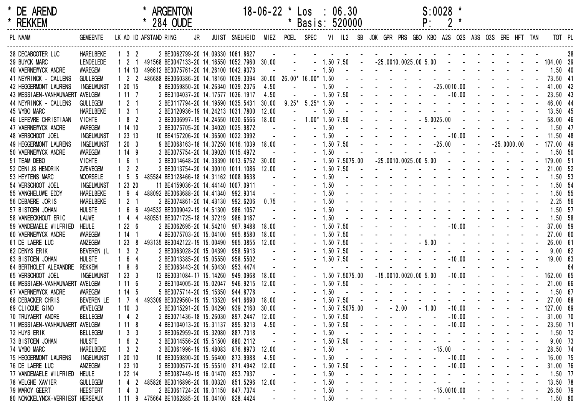| <b>DE AREND</b> |  |
|-----------------|--|
| <b>RFKKFM</b>   |  |

#### \* DE AREND \* ARGENTON 18-06-22 \* Los : 06.30 S:0028 \*

| <b>REKKEM</b>                    |                   |                     | * 284 OUDE                                   |                          |                                         |            |           | Basis: 520000            |                |                |                         |                                                           |                                                           | ۲:           |                 |                                                                                                                                                                                                                                |                                   |               |  |             |    |
|----------------------------------|-------------------|---------------------|----------------------------------------------|--------------------------|-----------------------------------------|------------|-----------|--------------------------|----------------|----------------|-------------------------|-----------------------------------------------------------|-----------------------------------------------------------|--------------|-----------------|--------------------------------------------------------------------------------------------------------------------------------------------------------------------------------------------------------------------------------|-----------------------------------|---------------|--|-------------|----|
| PL NAAM                          | <b>GEMEENTE</b>   |                     | LK AD ID AFSTAND RING                        | JR                       | JUIST SNELHEID MIEZ POEL SPEC           |            |           |                          |                |                |                         | VI IL2 SB JOK GPR PRS GBO KBO A2S O2S A3S O3S ERE HFT TAN |                                                           |              |                 |                                                                                                                                                                                                                                |                                   |               |  | TOT PL      |    |
| 38 DECABOOTER LUC                | <b>HARELBEKE</b>  | $1 \quad 3 \quad 2$ |                                              |                          | 2 BE3062799-20 14.09330 1061.8627       | $\sim 100$ | $\sim 10$ |                          |                |                |                         | and the contract of the contract of the contract of       |                                                           |              |                 |                                                                                                                                                                                                                                |                                   |               |  |             | 38 |
| 39 BUYCK MARC                    | <b>LENDELEDE</b>  | $1\quad2$           | 491568 BE3047133-20 14.16550 1052.7960 30.00 |                          |                                         |            | $\sim$    |                          |                | $-1.50$ $7.50$ | $\sim 100$ km s $^{-1}$ | $-25.0010.0025.005.00$                                    |                                                           |              |                 | and the second control of the second                                                                                                                                                                                           |                                   |               |  | 104.00 39   |    |
| 40 VAERNEWYCK ANDRE              | <b>WAREGEM</b>    | 11413               | 496612 BE3075761-20 14.26100 1042.9373       |                          |                                         |            |           |                          | $-1.50$        | $\sim 100$     |                         |                                                           |                                                           |              |                 | the contract of the contract of the contract of                                                                                                                                                                                |                                   |               |  | $1.50$ 40   |    |
| 41 NEYRINCK - CALLENS            | <b>GULLEGEM</b>   | $1 \quad 2 \quad 2$ | 486688 BE3060386-20 14.18160 1039.3394       |                          |                                         |            |           | 30.00 26.00* 16.00* 1.50 |                |                |                         | the second contract of the second contract of             |                                                           |              |                 |                                                                                                                                                                                                                                |                                   |               |  | 73.50 41    |    |
| 42 HEGGERMONT LAURENS            | <b>INGELMUNST</b> | 1 20 15             |                                              |                          | 8 BE3059850-20 14.26340 1039.2376       | 4.50       |           |                          | $-1.50$        |                |                         |                                                           |                                                           |              |                 | $-25.0010.00$                                                                                                                                                                                                                  |                                   |               |  | 41.00 42    |    |
| 43 MESSIAEN-VANHAUWAERT AVELGEM  |                   | 1117                |                                              |                          | 2 BE3104037-20 14.17577 1036.1917       | 4.50       |           |                          | $-1.50$ 7.50   |                |                         | the company of the company                                |                                                           |              | $\sim 10^{-10}$ | $-10.00$                                                                                                                                                                                                                       |                                   |               |  | 23.50 43    |    |
| 44 NEYRINCK - CALLENS            | <b>GULLEGEM</b>   | $1 \quad 2 \quad 1$ |                                              |                          | 2 BE3117794-20 14.19590 1035.5431       | 30.00      |           | $9.25* 5.25* 1.50$       |                |                |                         |                                                           |                                                           |              |                 | design and a state of the state of the                                                                                                                                                                                         |                                   |               |  | 46.00 44    |    |
| 45 WYBO MARC                     | <b>HARELBEKE</b>  | $1 \quad 3 \quad 1$ |                                              |                          | 2 BE3120936-19 14.24213 1031.7800       | 12.00      |           |                          | $-1.50$        |                |                         |                                                           |                                                           |              |                 |                                                                                                                                                                                                                                |                                   |               |  | 13.50 45    |    |
| 46 LEFEVRE CHRISTIAAN            | <b>VICHTE</b>     | $182$               |                                              |                          | 3 BE3036997-19 14.24550 1030.6566       | 18.00      |           | $1.00*$ 1.50 7.50        |                |                |                         |                                                           | $\mathcal{L}(\mathcal{L})$ and $\mathcal{L}(\mathcal{L})$ | $-5.0025.00$ |                 |                                                                                                                                                                                                                                | and the state of the state of the |               |  | 58.00 46    |    |
| 47 VAERNEWYCK ANDRE              | <b>WAREGEM</b>    | 1 14 10             |                                              |                          | 2 BE3075705-20 14.34020 1025.9872       |            |           |                          | $-1.50$        |                |                         |                                                           |                                                           |              |                 |                                                                                                                                                                                                                                |                                   |               |  | $1.50$ 47   |    |
| 48 VERSCHOOT JOEL                | <b>INGELMUNST</b> | 1 23 13             |                                              |                          | 10 BE4157206-20 14.36500 1022.3992      |            |           |                          | $-1.50$        |                |                         |                                                           |                                                           |              |                 | $-10.00$                                                                                                                                                                                                                       |                                   |               |  | 11.50 48    |    |
| 49 HEGGERMONT LAURENS            | <b>INGELMUNST</b> | 1203                |                                              |                          | 9 BE3068163-18 14.37250 1016.1039 18.00 |            |           |                          | $-1.50$ 7.50   |                |                         |                                                           |                                                           |              |                 | $-25.00 - -$                                                                                                                                                                                                                   |                                   | $-25.0000.00$ |  | $-177.0049$ |    |
| 50 VAERNEWYCK ANDRE              | <b>WAREGEM</b>    | 1149                |                                              |                          | 3 BE3075754-20 14.39020 1015.4972       |            |           |                          | $-1.50$        |                |                         |                                                           |                                                           |              |                 |                                                                                                                                                                                                                                |                                   |               |  | 1.50 50     |    |
| 51 TEAM DEBO                     | <b>VICHTE</b>     | $1\quad6$           |                                              |                          | 2 BE3014648-20 14.33390 1013.6752 30.00 |            |           |                          |                | $-1.5075.00$   |                         | $-25.0010.0025.005.00$                                    |                                                           |              |                 | $\sim$                                                                                                                                                                                                                         |                                   |               |  | 179.00 51   |    |
| 52 DENIJS HENDRIK                | ZWEVEGEM          | $1\quad 2$<br>-2    |                                              |                          | 2 BE3013754-20 14.30010 1011.1086       | 12.00      |           |                          | $-1.50$ 7.50   |                |                         |                                                           |                                                           |              |                 | design and a state of the state of the                                                                                                                                                                                         |                                   |               |  | 21.00 52    |    |
| 53 HEYTENS MARC                  | <b>MOORSELE</b>   | $1\quad5$           | 485584 BE3128466-18 14.31162 1008.9638       |                          |                                         |            |           |                          | $-1.50$        |                |                         |                                                           |                                                           |              |                 | the second contract of the second contract of                                                                                                                                                                                  |                                   |               |  | 1.50 53     |    |
| 54 VERSCHOOT JOEL                | <b>INGELMUNST</b> | 1 23 20             |                                              |                          | 11 BE4159036-20 14.44140 1007.0911      |            |           |                          | $-1.50$        |                |                         |                                                           |                                                           |              |                 | the second contract of the second contract of the second contract of the second contract of the second contract of the second contract of the second contract of the second contract of the second contract of the second cont |                                   |               |  | 1.50 54     |    |
| 55 VANGHELUWE EDDY               | <b>HARELBEKE</b>  | 19<br>4             | 488092 BE3063688-20 14.41340 992.9314        |                          |                                         |            |           |                          | $-1.50$        |                |                         |                                                           |                                                           |              |                 | the second contract of the second contract of                                                                                                                                                                                  |                                   |               |  | 1.50 55     |    |
| 56 DEBAERE JORIS                 | <b>HARELBEKE</b>  | $1\quad2$           |                                              |                          | 2 BE3074861-20 14.43130 992.6206        | 0.75       |           |                          | $-1.50$        |                |                         |                                                           |                                                           |              |                 | the contract of the contract of the contract of the contract of the contract of the contract of the contract of                                                                                                                |                                   |               |  | 2.25 56     |    |
| 57 BISTOEN JOHAN                 | <b>HULSTE</b>     | $1\quad 6$          | 494532 BE3009042-19 14.51300                 |                          | 986.1057                                |            |           |                          | $-1.50$        |                |                         |                                                           |                                                           |              |                 | and a strain and a strain and a strain a                                                                                                                                                                                       |                                   |               |  | 1.50 57     |    |
| 58 VANEECKHOUT ERIC              | <b>LAUWE</b>      | $1 \quad 4 \quad 4$ | 480551 BE3071725-18 14.37219                 |                          | 986.0187                                |            |           |                          | $-1.50$        |                |                         |                                                           |                                                           |              |                 |                                                                                                                                                                                                                                |                                   |               |  | 1.50 58     |    |
| 59 VANDEMAELE WILFRIED           | <b>HEULE</b>      | 1226                |                                              | 2 BE3062695-20 14.54210  | 967.9488                                | 18.00      |           |                          | $-1.50$ 7.50   |                |                         |                                                           |                                                           |              |                 | $-10.00$                                                                                                                                                                                                                       |                                   |               |  | 37.00 59    |    |
| 60 VAERNEWYCK ANDRE              | <b>WAREGEM</b>    | 114                 |                                              | 4 BE3075703-20 15.04100  | 965.8580                                | 18.00      |           |                          | $-1.50$ 7.50   |                |                         |                                                           |                                                           |              |                 | the contract of the contract of the contract of the contract of the contract of the contract of the contract of the contract of the contract of the contract of the contract of the contract of the contract of the contract o |                                   |               |  | 27.00 60    |    |
| 61 DE LAERE LUC                  | ANZEGEM           | 123                 | 8 493135 BE3042122-19 15.00490               |                          | 965.3855                                | 12.00      |           |                          | $-1.50$ 7.50   |                |                         |                                                           |                                                           | $-5.00$      |                 |                                                                                                                                                                                                                                |                                   |               |  | 26.00 61    |    |
| 62 DENYS ERIK                    | BEVEREN (L        | $1 \quad 3 \quad 2$ |                                              | 2 BE3063028-20 15.04390  | 958.5913                                |            |           |                          | $-1.50$ 7.50   |                |                         |                                                           |                                                           |              |                 |                                                                                                                                                                                                                                |                                   |               |  | 9.0062      |    |
| 63 BISTOEN JOHAN                 | <b>HULSTE</b>     | 6<br>-4             |                                              | 2 BE3013385-20 15.05550  | 958.5502                                |            |           |                          | $-1.50$ 7.50   |                |                         |                                                           |                                                           |              |                 | $-10.00$                                                                                                                                                                                                                       |                                   |               |  | 19.00 63    |    |
| 64 BERTHOLET ALEXANDRE           | <b>REKKEM</b>     | 186                 |                                              | 2 BE3063443-20 14.50430  | 953.4474                                |            |           |                          |                |                |                         |                                                           |                                                           |              |                 |                                                                                                                                                                                                                                |                                   |               |  |             | 64 |
| 65 VERSCHOOT JOEL                | <b>INGELMUNST</b> | 1233                |                                              | 12 BE3031084-17 15.14260 | 949.0968                                | 18.00      |           |                          |                | $-1.5075.00$   |                         | $-15.0010.0020.005.00$                                    |                                                           |              |                 | $-10.00$                                                                                                                                                                                                                       |                                   |               |  | 162.00 65   |    |
| 66 MESSIAEN-VANHAUWAERT AVELGEM  |                   | 1116                |                                              | 3 BE3104005-20 15.02047  | 946.9215                                | 12.00      |           |                          | $-1.50$ 7.50   |                |                         |                                                           |                                                           |              |                 | the second contract of the second contract of                                                                                                                                                                                  |                                   |               |  | 21.00 66    |    |
| 67 VAERNEWYCK ANDRE              | <b>WAREGEM</b>    | 114                 |                                              | 5 BE3075714-20 15.15350  | 944.8778                                |            |           |                          | 1.50           |                |                         |                                                           |                                                           |              |                 | the second contract of the second contract of the second second contract of the second second second second second second second second second second second second second second second second second second second second se |                                   |               |  | $1.50$ 67   |    |
| 68 DEBACKER CHRIS                | <b>BEVEREN LE</b> | $1\quad 7$<br>4     | 493309 BE3029560-19 15.13520                 |                          | 941.6690                                | 18.00      |           |                          | $-1.50$ 7.50   |                |                         |                                                           |                                                           |              |                 | and the state of the state of the                                                                                                                                                                                              |                                   |               |  | 27.00 68    |    |
| 69 CLICQUE GINO                  | <b>WEVELGEM</b>   | 1103                |                                              | 2 BE3015291-20 15.04290  | 939.2160                                | 30.00      |           |                          |                | $-1.5075.00$   |                         |                                                           | $-2.00$                                                   | $-1.00$      |                 | $-10.00$                                                                                                                                                                                                                       |                                   |               |  | 127.00 69   |    |
| 70 TRUYAERT ANDRE                | <b>BELLEGEM</b>   | $142$               |                                              | 2 BE3071436-18 15.26030  | 897.2447                                | 12.00      |           |                          | $-1.50$ 7.50   |                |                         |                                                           | <b>Service</b> Service                                    |              |                 | $-10.00$                                                                                                                                                                                                                       |                                   |               |  | 31.00 70    |    |
| 71 MESSIAEN-VANHAUWAERT AVELGEM  |                   | 1118                |                                              |                          | 4 BE3104013-20 15.31137 895.9213        | 4.50       |           |                          | $-1.50$ 7.50   |                |                         |                                                           |                                                           |              |                 | $-10.00$                                                                                                                                                                                                                       |                                   |               |  | 23.50 71    |    |
| 72 HUYS ERIK                     | <b>BELLEGEM</b>   | 3 <sup>3</sup>      |                                              |                          | 2 BE3062959-20 15.32080 887.7318        |            |           |                          | $-1.50$        |                |                         |                                                           |                                                           |              |                 |                                                                                                                                                                                                                                |                                   |               |  | 1.50 72     |    |
| 73 BISTOEN JOHAN                 | <b>HULSTE</b>     | 6<br>$\overline{2}$ |                                              | 3 BE3014556-20 15.51500  | 880.2112                                |            |           |                          | $-1.50$ $7.50$ |                |                         |                                                           |                                                           |              |                 |                                                                                                                                                                                                                                |                                   |               |  | $9.00$ 73   |    |
| 74 WYBO MARC                     | <b>HARELBEKE</b>  | $1 \quad 3 \quad 2$ |                                              | 3 BE3061996-19 15.48083  | 876.8973                                | 12.00      |           |                          | $-1.50$        |                |                         |                                                           |                                                           |              |                 | $-15.00$                                                                                                                                                                                                                       |                                   |               |  | 28.50 74    |    |
| 75 HEGGERMONT LAURENS            | <b>INGELMUNST</b> | 12010               |                                              |                          | 10 BE3059890-20 15.56400 873.9988       | 4.50       |           |                          | $-1.50$        |                |                         |                                                           |                                                           |              |                 | $-10.00$                                                                                                                                                                                                                       |                                   |               |  | 16.00 75    |    |
| 76 DE LAERE LUC                  | ANZEGEM           | 12310               |                                              |                          | 2 BE3000577-20 15.55510 871.4942        | 12.00      |           |                          | $-1.50$ $7.50$ |                |                         |                                                           |                                                           |              |                 | $-10.00$                                                                                                                                                                                                                       |                                   |               |  | 31.00 76    |    |
| 77 VANDEMAELE WILFRIED           | <b>HEULE</b>      | 1 22 14             |                                              |                          | 3 BE3087449-19 16.01470 853.7937        |            |           |                          | $-1.50$        |                |                         |                                                           |                                                           |              |                 |                                                                                                                                                                                                                                |                                   |               |  | 1.50 77     |    |
| 78 VELGHE XAVIER                 | <b>GULLEGEM</b>   | 1 4 2               | 485826 BE3016896-20 16.00320 851.5296        |                          |                                         | 12.00      |           |                          | $-1.50$        |                |                         |                                                           |                                                           |              |                 |                                                                                                                                                                                                                                |                                   |               |  | 13.50 78    |    |
| 79 MAROY GEERT                   | <b>HEESTERT</b>   | $1\;\; 4\;\; 3$     |                                              |                          | 2 BE3061724-20 16.01150 847.7374        |            |           |                          | $-1.50$        |                |                         |                                                           |                                                           |              |                 | $-15.0010.00$                                                                                                                                                                                                                  |                                   |               |  | 26.50 79    |    |
| 80 NONCKELYNCK-VERRIEST HERSEAUX |                   |                     | 1 11 9 475664 BE1062885-20 16.04100 828.4424 |                          |                                         |            |           |                          | $-1.50$        |                |                         |                                                           |                                                           |              |                 | and the state of the state of the                                                                                                                                                                                              |                                   |               |  | 1.50 80     |    |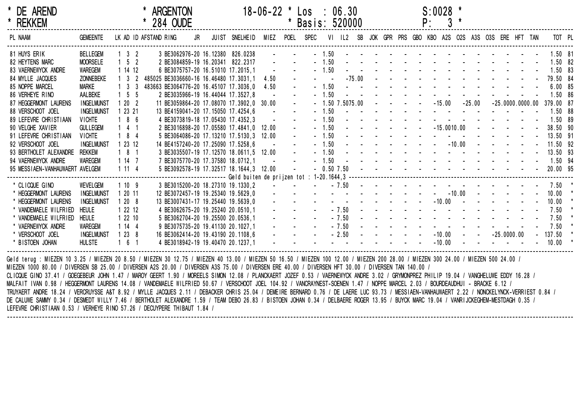| * DE AREND<br>* REKKEM                                                                                                                                                                                                                                                                                                                                                                                                                                                                                                                                                                                                                                                                                        |                   |                     | * 284 OUDE            | <b>ARGENTON</b> |  |                                                                              | $18-06-22$ * $\text{Los}$ : 06.30                                        |                  | * Basis: 520000                                                                                |         |                |  |                            |            | $S:0028$ *<br>$P: 3$ * |                                                                                                                                                                                                                                |               |  |                                              |  |
|---------------------------------------------------------------------------------------------------------------------------------------------------------------------------------------------------------------------------------------------------------------------------------------------------------------------------------------------------------------------------------------------------------------------------------------------------------------------------------------------------------------------------------------------------------------------------------------------------------------------------------------------------------------------------------------------------------------|-------------------|---------------------|-----------------------|-----------------|--|------------------------------------------------------------------------------|--------------------------------------------------------------------------|------------------|------------------------------------------------------------------------------------------------|---------|----------------|--|----------------------------|------------|------------------------|--------------------------------------------------------------------------------------------------------------------------------------------------------------------------------------------------------------------------------|---------------|--|----------------------------------------------|--|
| PL NAAM                                                                                                                                                                                                                                                                                                                                                                                                                                                                                                                                                                                                                                                                                                       | <b>GEMEENTE</b>   |                     | LK AD ID AFSTAND RING |                 |  | JR JUIST SNELHEID MIEZ POEL SPEC                                             |                                                                          |                  |                                                                                                |         |                |  |                            |            |                        | VI IL2 SB JOK GPR PRS GBO KBO A2S O2S A3S O3S ERE HFT TAN                                                                                                                                                                      |               |  | TOT PL                                       |  |
| 81 HUYS ERIK                                                                                                                                                                                                                                                                                                                                                                                                                                                                                                                                                                                                                                                                                                  | <b>BELLEGEM</b>   | $1 \quad 3 \quad 2$ |                       |                 |  | 3 BE3062976-20 16.12380 826.0238                                             |                                                                          |                  |                                                                                                |         | $-1.50$ $ -$   |  |                            |            |                        |                                                                                                                                                                                                                                |               |  | $1.50$ 81                                    |  |
| 82 HEYTENS MARC                                                                                                                                                                                                                                                                                                                                                                                                                                                                                                                                                                                                                                                                                               | <b>MOORSELE</b>   | $1 \quad 5 \quad 2$ |                       |                 |  | 2 BE3084859-19 16.20341 822.2317 - - -                                       |                                                                          |                  |                                                                                                |         |                |  |                            |            |                        |                                                                                                                                                                                                                                |               |  | $1.50$ 82                                    |  |
| 83 VAERNEWYCK ANDRE                                                                                                                                                                                                                                                                                                                                                                                                                                                                                                                                                                                                                                                                                           | WAREGEM           | 1 14 12             |                       |                 |  | 6 BE3075757-20 16.51010 17.2015,1                                            | $\sim 100$ km s $^{-1}$                                                  |                  |                                                                                                |         |                |  |                            |            |                        | $-1.50$ . The set of the set of the set of the set of the set of the set of the set of the set of the set of the set of the set of the set of the set of the set of the set of the set of the set of the set of the set of th  |               |  | 1.50 83                                      |  |
| 84 MYLLE JACQUES                                                                                                                                                                                                                                                                                                                                                                                                                                                                                                                                                                                                                                                                                              | ZONNEBEKE         | $1 \quad 3 \quad 2$ |                       |                 |  | 485025 BE3036660-16 16.46480 17.3031,1                                       | 4.50                                                                     |                  |                                                                                                |         | $-75.00$       |  |                            |            |                        |                                                                                                                                                                                                                                |               |  | 79.50 84                                     |  |
| 85 NOPPE MARCEL                                                                                                                                                                                                                                                                                                                                                                                                                                                                                                                                                                                                                                                                                               | Marke             | $1 \quad 3 \quad 3$ |                       |                 |  | 483663 BE3064776-20 16.45107 17.3036,0                                       | 4.50                                                                     | $\Delta \sim 10$ |                                                                                                | $-1.50$ |                |  |                            |            |                        |                                                                                                                                                                                                                                |               |  | 6.0085                                       |  |
| 86 VERHEYE RINO                                                                                                                                                                                                                                                                                                                                                                                                                                                                                                                                                                                                                                                                                               | AALBEKE           | $1\quad5\quad5$     |                       |                 |  | 2 BE3035966-19 16.44044 17.3527,8                                            |                                                                          | $\Delta \sim 10$ |                                                                                                | $-1.50$ |                |  |                            |            |                        |                                                                                                                                                                                                                                |               |  | 1.50 86                                      |  |
| 87 HEGGERMONT LAURENS                                                                                                                                                                                                                                                                                                                                                                                                                                                                                                                                                                                                                                                                                         | <b>INGELMUNST</b> | 1202                |                       |                 |  | 11 BE3059864-20 17.08070 17.3902,0 30.00                                     |                                                                          | $\Delta \sim$    |                                                                                                |         |                |  | $-1.50$ $7.5075.00$ $   -$ |            |                        |                                                                                                                                                                                                                                |               |  | $-15.00 -25.00 -25.0000.0000.00 379.00 87$   |  |
| 88 VERSCHOOT JOEL                                                                                                                                                                                                                                                                                                                                                                                                                                                                                                                                                                                                                                                                                             | <b>INGELMUNST</b> | 1 23 21             |                       |                 |  | 13 BE4159041-20 17.15050 17.4254,6                                           | <b>Contractor</b>                                                        |                  |                                                                                                |         |                |  |                            |            |                        |                                                                                                                                                                                                                                |               |  | 1.50 88                                      |  |
| 89 LEFEVRE CHRISTIAAN                                                                                                                                                                                                                                                                                                                                                                                                                                                                                                                                                                                                                                                                                         | <b>VICHTE</b>     | 186                 |                       |                 |  | 4 BE3073819-18 17.05430 17.4352.3                                            | <b>Contract Contract</b>                                                 |                  |                                                                                                | $-1.50$ |                |  |                            |            |                        | the second contract of the second contract of the second second contract of the second second second second second second second second second second second second second second second second second second second second se |               |  | 1.50 89                                      |  |
| 90 VELGHE XAVIER                                                                                                                                                                                                                                                                                                                                                                                                                                                                                                                                                                                                                                                                                              | <b>GULLEGEM</b>   | $141$               |                       |                 |  | 2 BE3016898-20 17.05580 17.4841,0 12.00                                      |                                                                          | $\Delta \sim 10$ |                                                                                                | $-1.50$ |                |  |                            |            | $-15.0010.00$          |                                                                                                                                                                                                                                |               |  | 38.50 90                                     |  |
| 91 LEFEVRE CHRISTIAAN                                                                                                                                                                                                                                                                                                                                                                                                                                                                                                                                                                                                                                                                                         | <b>VICHTE</b>     | $184$               |                       |                 |  | 5 BE3064086-20 17.13210 17.5130,3 12.00                                      |                                                                          |                  | $\Delta \sim 10^4$                                                                             |         | $-1.50$ $  -$  |  |                            |            |                        |                                                                                                                                                                                                                                |               |  | 13.50 91                                     |  |
| 92 VERSCHOOT JOEL                                                                                                                                                                                                                                                                                                                                                                                                                                                                                                                                                                                                                                                                                             | <b>INGELMUNST</b> | 1 23 12             |                       |                 |  | 14 BE4157240-20 17.25090 17.5258,6                                           | $\mathcal{L}(\mathcal{L}(\mathcal{L}))$ . The $\mathcal{L}(\mathcal{L})$ |                  |                                                                                                |         | $-1.50$ $  -$  |  |                            |            |                        | $-10.00$ - - -                                                                                                                                                                                                                 |               |  | 11.50 92                                     |  |
| 93 BERTHOLET ALEXANDRE REKKEM                                                                                                                                                                                                                                                                                                                                                                                                                                                                                                                                                                                                                                                                                 |                   | $181$               |                       |                 |  | 3 BE3035507-19 17.12570 18.0611,5 12.00<br>7 BE3075770-20 17.37580 18.0712,1 |                                                                          |                  |                                                                                                |         |                |  |                            |            |                        | $-1.50$ . The contract of the contract of the contract of the contract of the contract of the contract of the contract of the contract of the contract of the contract of the contract of the contract of the contract of the  |               |  | 13.50 93                                     |  |
| 94 VAERNEWYCK ANDRE                                                                                                                                                                                                                                                                                                                                                                                                                                                                                                                                                                                                                                                                                           | WAREGEM           | 1 14 7              |                       |                 |  | 7 BE3075770-20 17.37580 18.0712,1                                            |                                                                          |                  |                                                                                                |         |                |  |                            |            |                        |                                                                                                                                                                                                                                |               |  | - 1.50 - - - - - - - - - - - - - - - 1.50 94 |  |
| 95 MESSIAEN-VANHAUWAERT AVELGEM                                                                                                                                                                                                                                                                                                                                                                                                                                                                                                                                                                                                                                                                               |                   | 1114                |                       |                 |  | 5 BE3092578-19 17.32517 18.1644,3 12.00 -                                    |                                                                          |                  |                                                                                                |         |                |  |                            |            |                        |                                                                                                                                                                                                                                |               |  |                                              |  |
|                                                                                                                                                                                                                                                                                                                                                                                                                                                                                                                                                                                                                                                                                                               |                   |                     |                       |                 |  |                                                                              |                                                                          |                  |                                                                                                |         |                |  |                            |            |                        |                                                                                                                                                                                                                                |               |  |                                              |  |
| * CLICQUE GINO                                                                                                                                                                                                                                                                                                                                                                                                                                                                                                                                                                                                                                                                                                | WEVELGEM          | 1109                |                       |                 |  | 3 BE3015200-20 18.27310 19.1330,2                                            |                                                                          |                  |                                                                                                |         | $-7.50 -$      |  |                            |            |                        |                                                                                                                                                                                                                                |               |  | 7.50                                         |  |
| * HEGGERMONT LAURENS                                                                                                                                                                                                                                                                                                                                                                                                                                                                                                                                                                                                                                                                                          | <b>INGELMUNST</b> | 1 20 11             |                       |                 |  | 12 BE3072457-19 19.25340 19.5629,0                                           |                                                                          |                  |                                                                                                |         |                |  | $      -$ 10.00            |            |                        |                                                                                                                                                                                                                                |               |  | 10.00                                        |  |
| * HEGGERMONT LAURENS                                                                                                                                                                                                                                                                                                                                                                                                                                                                                                                                                                                                                                                                                          | <b>INGELMUNST</b> | 1208                |                       |                 |  | 13 BE3007431-17 19.25440 19.5639,0                                           | and a straight and a straight                                            |                  |                                                                                                |         |                |  |                            |            |                        | $      10.00$ $     -$                                                                                                                                                                                                         |               |  | 10.00                                        |  |
| * VANDEMAELE WILFRIED                                                                                                                                                                                                                                                                                                                                                                                                                                                                                                                                                                                                                                                                                         | <b>HEULE</b>      | 1 22 12             |                       |                 |  | 4 BE3062675-20 19.25240 20.0510,1                                            |                                                                          |                  | $\mathbf{L}^{\text{max}}$ and $\mathbf{L}^{\text{max}}$ . The set of $\mathbf{L}^{\text{max}}$ |         |                |  |                            |            |                        | $-7.50$ . The set of the set of the set of the set of the set of the set of the set of the set of the set of the set of the set of the set of the set of the set of the set of the set of the set of the set of the set of th  |               |  | 7.50                                         |  |
| * VANDEMAELE WILFRIED                                                                                                                                                                                                                                                                                                                                                                                                                                                                                                                                                                                                                                                                                         | HEULE             | 1 22 10             |                       |                 |  | 5 BE3062704-20 19.25500 20.0536,1                                            |                                                                          |                  | $\mathbf{L}^{\text{max}}$ , and $\mathbf{L}^{\text{max}}$ , and $\mathbf{L}^{\text{max}}$      |         |                |  |                            |            |                        | $-7.50$                                                                                                                                                                                                                        |               |  | 7.50                                         |  |
| * VAERNEWYCK ANDRE                                                                                                                                                                                                                                                                                                                                                                                                                                                                                                                                                                                                                                                                                            | WAREGEM           | 1144                |                       |                 |  | 9 BE3075735-20 19.41130 20.1027,1                                            |                                                                          |                  | and a strategic                                                                                |         | $-7.50$ $   -$ |  |                            |            |                        |                                                                                                                                                                                                                                |               |  | 7.50                                         |  |
| * VERSCHOOT JOEL                                                                                                                                                                                                                                                                                                                                                                                                                                                                                                                                                                                                                                                                                              | <b>INGELMUNST</b> | 1238                |                       |                 |  | 16 BE3062414-20 19.43190 20.1108,6                                           |                                                                          |                  | $    2.50$ $-$                                                                                 |         |                |  |                            | $\sim 100$ |                        | $-10.00 - -$                                                                                                                                                                                                                   | $-25.0000.00$ |  | $-137.50$                                    |  |
| * BISTOEN JOHAN                                                                                                                                                                                                                                                                                                                                                                                                                                                                                                                                                                                                                                                                                               | <b>HULSTE</b>     | 161                 |                       |                 |  | 4 BE3018942-19 19.40470 20.1237,1                                            |                                                                          |                  | <u>a sa sa sanadka a sa sa sa sa</u>                                                           |         |                |  |                            |            | $-10.00 -$             |                                                                                                                                                                                                                                |               |  | 10.00                                        |  |
| Geld terug : MIEZEN 10 3.25 / MIEZEN 20 8.50 / MIEZEN 30 12.75 / MIEZEN 40 13.00 / MIEZEN 50 16.50 / MIEZEN 100 12.00 / MIEZEN 200 28.00 / MIEZEN 300 24.00 / MIEZEN 500 24.00 /<br>MIEZEN 1000 80.00 / DIVERSEN SB 25.00 / DIVERSEN A2S 20.00 / DIVERSEN A3S 75.00 / DIVERSEN ERE 40.00 / DIVERSEN HFT 30.00 / DIVERSEN TAN 140.00 /<br>CLICQUE GINO 37.41 / GOEGEBEUR JOHN 1.47 / MAROY GEERT 1.90 / MOREELS SIMON 12.08 / PLANCKAERT JOZEF 0.53 / VAERNEWYCK ANDRE 3.02 / GRYMONPREZ PHILIP 19.04 / VANGHELUWE EDDY 16.28 /<br>MALFAIT IVAN 0.98 / HEGGERMONT LAURENS 14.08 / VANDEMAELE WILFRIED 50.67 / VERSCHOOT JOEL 104.92 / VANCRAYNEST-SOENEN 1.47 / NOPPE MARCEL 2.03 / BOURDEAUDHUI - BRACKE 6.12 |                   |                     |                       |                 |  |                                                                              |                                                                          |                  |                                                                                                |         |                |  |                            |            |                        |                                                                                                                                                                                                                                |               |  |                                              |  |

--------------------------------------------------------------------------------------------------------------------------------------------------------------------------------------------------

TRUYAERT ANDRE 18.24 / VERCRUYSSE A&T 8.92 / MYLLE JACQUES 2.11 / DEBACKER CHRIS 25.04 / DEMEIRE BERNARD 0.76 / DE LAERE LUC 93.73 / MESSIAEN-VANHAUWAERT 2.22 / NONCKELYNCK-VERRIEST 0.84 / DE CALUWE SAMMY 0.34 / DESMEDT WILLY 7.46 / BERTHOLET ALEXANDRE 1.59 / TEAM DEBO 26.83 / BISTOEN JOHAN 0.34 / DELBAERE ROGER 13.95 / BUYCK MARC 19.04 / VANRIJCKEGHEM-MESTDAGH 0.35 / LEFEVRE CHRISTIAAN 0.53 / VERHEYE RINO 57.26 / DECUYPERE THIBAUT 1.84 /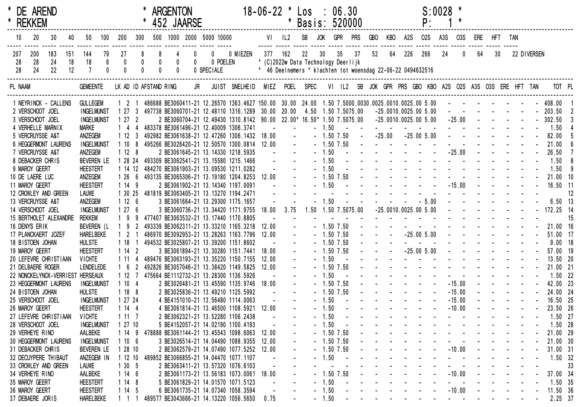| * DE AREND<br>* REKKEM           |     |                        |     |                                      |                  |                     |                |            | <b>ARGENTON</b>                             | 452 JAARSE              |                                                                                                                  |            | $18 - 06 - 22$ *  | $\star$           | $\textsf{Los} \div \textsf{06.30}$<br>Basis: 520000         |                    |                              |    |                            |    |                                                                                                                                                                                                                                | $S:0028$ *<br>P:           |     |                              |                  |                                                                                           |                 |             |                          |    |
|----------------------------------|-----|------------------------|-----|--------------------------------------|------------------|---------------------|----------------|------------|---------------------------------------------|-------------------------|------------------------------------------------------------------------------------------------------------------|------------|-------------------|-------------------|-------------------------------------------------------------|--------------------|------------------------------|----|----------------------------|----|--------------------------------------------------------------------------------------------------------------------------------------------------------------------------------------------------------------------------------|----------------------------|-----|------------------------------|------------------|-------------------------------------------------------------------------------------------|-----------------|-------------|--------------------------|----|
| 10                               | 20  | 30                     | 40  |                                      |                  | 50 100 200          |                |            |                                             |                         | 300 500 1000 2000 5000 10000                                                                                     |            |                   |                   | VI IL2 SB JOK GPR PRS                                       |                    |                              |    | <b>GBO</b>                 |    | KBO A2S                                                                                                                                                                                                                        | <b>02S</b>                 | A3S | O3S                          | ERE HFT TAN      |                                                                                           |                 |             |                          |    |
| 207                              | 200 | 183                    | 151 | 144                                  | 79               | 27                  | 8              | 8          |                                             | $\mathbf{0}$            |                                                                                                                  | 0 0 MIEZEN | 377 162           |                   | 22                                                          | 30                 | 35                           | 37 | 52                         | 64 | 226                                                                                                                                                                                                                            | 266                        | 24  | $\mathbf 0$                  | 64               |                                                                                           | 30 <sup>2</sup> | 22 DIVERSEN |                          |    |
| 28                               | 28  | - 24                   | 18  | 18                                   | $\boldsymbol{6}$ | $\bm{0}$            |                | $0\atop 0$ | $\begin{matrix}0\0\end{matrix}$<br>$\bm{0}$ | $\overline{\mathbf{0}}$ | 0 POELEN                                                                                                         |            |                   |                   | * (C)2022w Data Technology Deerlijk                         |                    |                              |    |                            |    |                                                                                                                                                                                                                                |                            |     |                              |                  |                                                                                           |                 |             |                          |    |
| 28                               | 24  | 22                     | 12  | $\overline{7}$                       | $\mathbf 0$      | $\mathbf 0$         |                |            | $\overline{0}$                              |                         | 0 SPECIALE                                                                                                       |            |                   |                   | * 46 Deelnemers * klachten tot woensdag 22-06-22 0494632516 |                    |                              |    |                            |    |                                                                                                                                                                                                                                |                            |     |                              |                  |                                                                                           |                 |             |                          |    |
| PL NAAM                          |     |                        |     | <b>GEMEENTE</b>                      |                  |                     |                |            |                                             |                         | LK AD ID AFSTAND RING JR JUIST SNELHEID MIEZ POEL SPEC VI IL2 SB JOK GPR PRS GBO KBO A2S O2S A3S O3S ERE HFT TAN |            |                   |                   |                                                             |                    |                              |    |                            |    |                                                                                                                                                                                                                                |                            |     |                              |                  |                                                                                           |                 |             | TOT PL                   |    |
|                                  |     | 1 NEYRINCK - CALLENS   |     | <b>GULLEGEM</b>                      |                  |                     |                |            |                                             |                         | 1 2 1 486688 BE3060411-21 12.26570 1363.4627 150.00 30.00 24.00 1.50 7.5000.0030.0025.0010.0025.00 5.00          |            |                   |                   |                                                             |                    |                              |    |                            |    |                                                                                                                                                                                                                                |                            |     |                              |                  |                                                                                           |                 |             | - - - - - - - - 408.00 1 |    |
| 2 VERSCHOOT JOEL                 |     |                        |     | <b>INGELMUNST</b>                    |                  | 1 27                |                |            |                                             |                         | 3 497738 BE3060701-21 12.48110 1316.1289 30.00 20.00 4.50 1.50 7.5075.00                                         |            |                   |                   |                                                             |                    |                              |    |                            |    | -25.0010.0025.00 5.00                                                                                                                                                                                                          |                            |     |                              |                  |                                                                                           |                 |             | $      203.50$           |    |
| 3 VERSCHOOT JOEL                 |     |                        |     | <b>INGELMUNST</b>                    |                  | 1272                |                |            |                                             |                         | 2 BE3060704-21 12.49430 1310.8142 90.00 22.00* 16.50* 1.50 7.5075.00 -25.0010.0025.00 5.00                       |            |                   |                   |                                                             |                    |                              |    |                            |    |                                                                                                                                                                                                                                |                            |     |                              | $-25.00$ - - - - |                                                                                           |                 |             | 302.50                   |    |
|                                  |     | 4 VERHELLE MARNIX      |     | Marke                                |                  | $1 \quad 4 \quad 4$ |                |            |                                             |                         | 483378 BE3061496-21 12.40009 1306.3741                                                                           |            | $\sim$            |                   |                                                             |                    |                              |    |                            |    | $-1.50$ . The second contract of the second contract of the second contract of the second contract of the second contract of the second contract of the second contract of the second contract of the second contract of the   |                            |     |                              |                  |                                                                                           |                 |             | 1.50                     |    |
| 5 VERCRUYSSE A&T                 |     |                        |     | ANZEGEM                              |                  | 112                 |                |            |                                             |                         | 492982 BE3061638-21 12.47260 1306.1432 18.00                                                                     |            |                   |                   |                                                             |                    |                              |    |                            |    | $-1.50$ 7.50 $-25.00$ $-25.00$ 5.00 $      -$                                                                                                                                                                                  |                            |     |                              |                  |                                                                                           |                 |             | 82.00                    |    |
|                                  |     | 6 HEGGERMONT LAURENS   |     | <b>INGELMUNST</b>                    |                  | 110                 | -8             |            |                                             |                         | 495266 BE3026420-21 12.50570 1300.0814 12.00                                                                     |            |                   |                   |                                                             |                    | $-1.50$ 7.50                 |    |                            |    | the contract of the contract of the contract of                                                                                                                                                                                |                            |     |                              |                  |                                                                                           |                 |             | 21.00                    |    |
| 7 VERCRUYSSE A&T                 |     |                        |     | ANZEGEM                              |                  | 1128                |                |            |                                             |                         | 2 BE3061645-21 13.14330 1218.5935                                                                                |            |                   | <b>Service</b>    |                                                             | $-1.50$            |                              |    |                            |    | the contract of the contract of the contract of the                                                                                                                                                                            |                            |     |                              |                  |                                                                                           |                 |             | 26.50                    |    |
| 8 DEBACKER CHRIS                 |     |                        |     | <b>BEVEREN LE</b><br><b>HEESTERT</b> |                  | 1 28 24             |                |            |                                             |                         | 493309 BE3062541-21 13.15580 1215.1466<br>1 14 12 484270 BE3061903-21 13.09530 1211.0282                         |            |                   | $\Delta \sim 100$ |                                                             | $-1.50$<br>$-1.50$ |                              |    |                            |    | and the state of the state of the state of the                                                                                                                                                                                 |                            |     |                              |                  |                                                                                           |                 |             | 1.50<br>1.50             |    |
| 9 MAROY GEERT<br>10 DE LAERE LUC |     |                        |     | ANZEGEM                              |                  | 1 26                |                |            |                                             |                         | 6 493135 BE3065306-21 13.19180 1204.8253 12.00                                                                   |            | <b>Contractor</b> |                   |                                                             |                    | $-1.50$ 7.50                 |    |                            |    | the second contract of the second contract of the second second contract of the second second second second second second second second second second second second second second second second second second second second se |                            |     |                              |                  |                                                                                           |                 |             | $21.00$ 10               |    |
| 11 MAROY GEERT                   |     |                        |     | <b>HEESTERT</b>                      |                  | 1149                |                |            |                                             |                         | 2 BE3061902-21 13.14340 1197.0091                                                                                |            |                   |                   |                                                             | $-1.50$            |                              |    |                            |    |                                                                                                                                                                                                                                |                            |     |                              |                  |                                                                                           |                 |             | 16.50 11                 |    |
|                                  |     | 12 CROWLEY AND GREEN   |     | LAUWE                                |                  |                     |                |            |                                             |                         | 1 30 25 481819 BE3063405-21 13.13270 1194.2471                                                                   |            |                   |                   |                                                             |                    |                              |    |                            |    | and the state of the state of the state of the state of the state of the state of the state of the state of the                                                                                                                |                            |     |                              |                  |                                                                                           |                 |             |                          | 12 |
| 13 VERCRUYSSE A&T                |     |                        |     | ANZEGEM                              |                  | 1126                |                |            |                                             |                         | 3 BE3061664-21 13.29300 1175.1657                                                                                |            |                   |                   |                                                             | $-1.50$            |                              |    |                            |    |                                                                                                                                                                                                                                |                            |     |                              |                  |                                                                                           |                 |             | $6.50$ 13                |    |
| 14 VERSCHOOT JOEL                |     |                        |     | <b>INGELMUNST</b>                    |                  | 1276                |                |            |                                             |                         | 3 BE3060736-21 13.34420 1171.9755 18.00                                                                          |            |                   | 3.75              |                                                             |                    |                              |    |                            |    | 1.50  1.50  7.5075.00  -25.0010.0025.00  5.00                                                                                                                                                                                  |                            |     |                              |                  |                                                                                           |                 |             | $       172.25$ 14       |    |
|                                  |     | 15 BERTHOLET ALEXANDRE |     | <b>REKKEM</b>                        |                  | 199                 |                |            |                                             |                         | 477407 BE3063532-21 13.17440 1170.8805                                                                           |            |                   |                   |                                                             |                    |                              |    |                            |    | المنافذ والمنافر والمنافر والمنافر والمنافر والمنافر                                                                                                                                                                           |                            |     |                              |                  |                                                                                           |                 |             |                          | 15 |
| 16 DENYS ERIK                    |     |                        |     | BEVEREN (L                           |                  |                     |                |            |                                             |                         | 1 9 2 493339 BE3062311-21 13.33210 1165.3218                                                                     |            | 12.00             |                   |                                                             |                    | $-1.50$ 7.50                 |    |                            |    | the second contract of the second contract of the second second contract of the second second second second second second second second second second second second second second second second second second second second se |                            |     |                              |                  |                                                                                           |                 |             | 21.00 16                 |    |
|                                  |     | 17 PLANCKAERT JOZEF    |     | <b>HARELBEKE</b>                     |                  | 2                   |                |            |                                             |                         | 486970 BE3092953-21 13.28263 1163.7796 12.00                                                                     |            |                   |                   |                                                             |                    | $-1.50$ 7.50                 |    | and the state of the state |    |                                                                                                                                                                                                                                | $-25.005.00$ - - - - - - - |     |                              |                  |                                                                                           |                 |             | 51.00 17                 |    |
| 18 BISTOEN JOHAN                 |     |                        |     | <b>HULSTE</b>                        |                  | 118                 |                |            |                                             |                         | 494532 BE3025807-21 13.39200 1151.8602                                                                           |            |                   |                   |                                                             |                    | $-1.50$ 7.50                 |    |                            |    | and a strain and a strain and a strain                                                                                                                                                                                         |                            |     |                              |                  |                                                                                           |                 |             | $9.00$ 18                |    |
| 19 MAROY GEERT                   |     |                        |     | <b>HEESTERT</b>                      |                  | 1142                |                |            |                                             |                         | 3 BE3061894-21 13.30280 1151.7441 18.00                                                                          |            |                   |                   |                                                             |                    | $-1.50$ $7.50$               |    |                            |    |                                                                                                                                                                                                                                | $-25.005.00$ - - - - - - - |     |                              |                  |                                                                                           |                 |             | 57.00 19                 |    |
|                                  |     | 20 LEFEVRE CHRISTIAAN  |     | <b>VICHTE</b>                        |                  | 111                 |                |            |                                             |                         | 489476 BE3063193-21 13.35220 1150.7155                                                                           |            | 12.00             |                   |                                                             | $-1.50$            |                              |    |                            |    | the second contract of the second contract of the second contract of the second contract of the second contract of the second contract of the second contract of the second contract of the second contract of the second cont |                            |     |                              |                  |                                                                                           |                 |             | 13.50 20                 |    |
| 21 DELBAERE ROGER                |     |                        |     | <b>LENDELEDE</b>                     |                  | $1\quad6$           | $\overline{2}$ |            |                                             |                         | 492826 BE3057046-21 13.38420 1149.5825 12.00                                                                     |            |                   |                   |                                                             |                    | $-1.50$ 7.50                 |    |                            |    | and the second contract of the second second                                                                                                                                                                                   |                            |     |                              |                  |                                                                                           |                 |             | 21.00 21                 |    |
|                                  |     |                        |     | 22 NONCKELYNCK-VERRIEST HERSEAUX     |                  | 1127                |                |            |                                             |                         | 475664 BE1112732-21 13.28300 1136.5926                                                                           |            |                   |                   |                                                             | $-1.50$            |                              |    |                            |    | the second contract of the second contract of the second contract of the second contract of the second contract of the second contract of the second contract of the second contract of the second contract of the second cont |                            |     |                              |                  |                                                                                           |                 |             | $1.50$ 22                |    |
|                                  |     | 23 HEGGERMONT LAURENS  |     | <b>INGELMUNST</b>                    |                  | 1104                |                |            |                                             |                         | 2 BE3026481-21 13.45590 1135.9746 18.00                                                                          |            |                   |                   |                                                             |                    | $-1.50$ 7.50                 |    |                            |    | and the second control of the second                                                                                                                                                                                           |                            |     | $-15.00$                     |                  | $\mathbf{L}^{\text{max}}$ , and $\mathbf{L}^{\text{max}}$ , and $\mathbf{L}^{\text{max}}$ |                 |             | 42.00 23                 |    |
| 24 BISTOEN JOHAN                 |     |                        |     | <b>HULSTE</b>                        |                  | 1188                |                |            |                                             |                         | 2 BE3025836-21 13.49210 1125.5992                                                                                |            |                   |                   |                                                             |                    | $-1.50$ 7.50                 |    |                            |    | and the state of the state of the                                                                                                                                                                                              |                            |     | $-15.00$                     |                  |                                                                                           |                 |             | 24.00 24                 |    |
| 25 VERSCHOOT JOEL                |     |                        |     | <b>INGELMUNST</b>                    |                  | 1 27 24             |                |            |                                             |                         | 4 BE4151010-21 13.56480 1114.0063                                                                                |            |                   |                   |                                                             | $-1.50$            |                              |    |                            |    | and the second control of the second                                                                                                                                                                                           |                            |     | $-15.00$                     |                  |                                                                                           |                 |             | 16.50 25                 |    |
| 26 MAROY GEERT                   |     |                        |     | <b>HEESTERT</b>                      |                  | 1144                |                |            |                                             |                         | 4 BE3061814-21 13.46500 1108.5921 12.00                                                                          |            |                   |                   |                                                             | $-1.50$            |                              |    |                            |    |                                                                                                                                                                                                                                |                            |     | $-10.00$                     |                  |                                                                                           |                 |             | 23.50 26                 |    |
|                                  |     | 27 LEFEVRE CHRISTIAAN  |     | <b>VICHTE</b>                        |                  | 1 11 7              |                |            |                                             |                         | 2 BE3062321-21 13.52280 1106.2438                                                                                |            |                   |                   |                                                             | $-1.50$            |                              |    |                            |    |                                                                                                                                                                                                                                |                            |     |                              |                  |                                                                                           |                 |             | $1.50$ 27                |    |
| 28 VERSCHOOT JOEL                |     |                        |     | <b>INGELMUNST</b>                    |                  | 12710               |                |            |                                             |                         | 5 BE4152057-21 14.02190 1100.4193                                                                                |            |                   |                   |                                                             | $-1.50$            |                              |    |                            |    |                                                                                                                                                                                                                                |                            |     |                              |                  |                                                                                           |                 |             | $1.50$ 28                |    |
| 29 VERHEYE RINO                  |     |                        |     | AALBEKE<br><b>INGELMUNST</b>         |                  | 1149                |                |            |                                             |                         | 478888 BE3061144-21 13.45543 1098.6063                                                                           |            | 12.00             |                   |                                                             |                    | $-1.50$ 7.50                 |    |                            |    |                                                                                                                                                                                                                                |                            |     |                              |                  |                                                                                           |                 |             | 21.00 29                 |    |
| 31 DEBACKER CHRIS                |     | 30 HEGGERMONT LAURENS  |     | <b>BEVEREN LE</b>                    |                  | 110<br>28 10        | -6             |            |                                             |                         | 3 BE3026514-21 14.04490 1088.9355<br>2 BE3062579-21 14.07490 1077.5252                                           |            | 12.00<br>12.00    |                   |                                                             |                    | $-1.50$ 7.50<br>$-1.50$ 7.50 |    |                            |    |                                                                                                                                                                                                                                |                            |     | $-10.00$                     |                  |                                                                                           |                 |             | 21.00 30<br>31.00 31     |    |
|                                  |     | 32 DECUYPERE THIBAUT   |     | ANZEGEM IN                           |                  | 11210               |                |            |                                             |                         | 489852 BE3066855-21 14.04470 1077.1107                                                                           |            |                   |                   |                                                             | 1.50               |                              |    |                            |    |                                                                                                                                                                                                                                |                            |     |                              |                  |                                                                                           |                 |             | $1.50$ 32                |    |
|                                  |     | 33 CROWLEY AND GREEN   |     | <b>LAUWE</b>                         |                  | 1305                |                |            |                                             |                         | 2 BE3063411-21 13.57320 1076.6103                                                                                |            |                   |                   |                                                             |                    |                              |    |                            |    |                                                                                                                                                                                                                                |                            |     |                              |                  |                                                                                           |                 |             |                          | 33 |
| 34 VERHEYE RINO                  |     |                        |     | AALBEKE                              |                  | 1146                |                |            |                                             |                         | 2 BE3061173-21 13.56183 1073.0061                                                                                |            | 18.00             |                   |                                                             |                    | $-1.50$ $7.50$               |    |                            |    |                                                                                                                                                                                                                                |                            |     | $-10.00$                     |                  |                                                                                           |                 |             | 37.00 34                 |    |
| 35 MAROY GEERT                   |     |                        |     | <b>HEESTERT</b>                      |                  | 1148                |                |            |                                             |                         | 5 BE3061829-21 14.01570 1071.5123                                                                                |            |                   |                   |                                                             | $-1.50$            |                              |    |                            |    |                                                                                                                                                                                                                                |                            |     |                              |                  |                                                                                           |                 |             | 1.50 35                  |    |
| 36 MAROY GEERT                   |     |                        |     | <b>HEESTERT</b>                      |                  | 1145                |                |            |                                             |                         | 6 BE3061735-21 14.07340 1058.3594                                                                                |            |                   |                   |                                                             | $-1.50$            |                              |    |                            |    |                                                                                                                                                                                                                                |                            |     | $-10.00$                     |                  |                                                                                           |                 |             | 11.50 36                 |    |
| 37 DEBAERE JORIS                 |     |                        |     | <b>HARELBEKE</b>                     |                  |                     |                |            |                                             |                         | 489577 BE3043666-21 14.13220 1056.5650                                                                           |            | 0.75              |                   |                                                             | $-1.50$            |                              |    |                            |    |                                                                                                                                                                                                                                |                            |     | $\sim$ 100 $\sim$ 100 $\sim$ |                  |                                                                                           |                 |             | 2.25 37                  |    |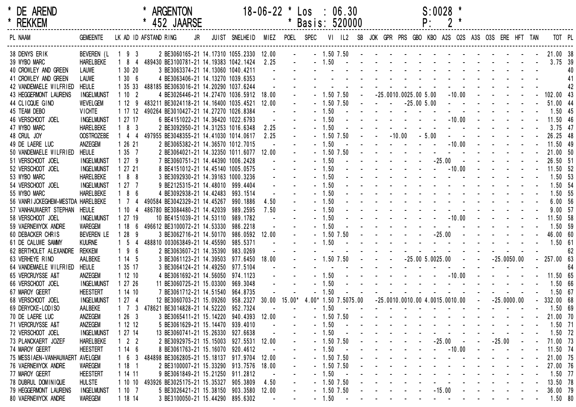| * DE AREND<br>* REKKEM                      |                                |                  |                          | * ARGENTON<br>* 452 JAARSE                                                 |    |                                                                                                | $18-06-22$ * Los : 06.30 | * Basis: 520000                                                                                                 |         |                |  |  | P: | $S:0028$ *                                                                                                                                                                                                                     |  |          |  |                                                                 |    |
|---------------------------------------------|--------------------------------|------------------|--------------------------|----------------------------------------------------------------------------|----|------------------------------------------------------------------------------------------------|--------------------------|-----------------------------------------------------------------------------------------------------------------|---------|----------------|--|--|----|--------------------------------------------------------------------------------------------------------------------------------------------------------------------------------------------------------------------------------|--|----------|--|-----------------------------------------------------------------|----|
| PL NAAM                                     | GEMEENTE LK AD ID AFSTAND RING |                  |                          |                                                                            | JR | JUIST SNELHEID MIEZ POEL SPEC VI IL2 SB JOK GPR PRS GBO KBO A2S O2S A3S O3S ERE HFT TAN TOT PL |                          |                                                                                                                 |         |                |  |  |    |                                                                                                                                                                                                                                |  |          |  |                                                                 |    |
| 38 DENYS ERIK                               |                                | BEVEREN (L 1 9 3 |                          |                                                                            |    |                                                                                                |                          |                                                                                                                 |         |                |  |  |    |                                                                                                                                                                                                                                |  |          |  |                                                                 |    |
| 39 WYBO MARC<br>40 CROWLEY AND GREEN        | HARELBEKE<br>LAUWE             |                  |                          |                                                                            |    |                                                                                                |                          |                                                                                                                 |         |                |  |  |    |                                                                                                                                                                                                                                |  |          |  |                                                                 |    |
| 41 CROWLEY AND GREEN                        | LAUWE                          |                  |                          |                                                                            |    |                                                                                                |                          |                                                                                                                 |         |                |  |  |    |                                                                                                                                                                                                                                |  |          |  |                                                                 |    |
| 42 VANDEMAELE WILFRIED                      | <b>HEULE</b>                   |                  |                          | 1 35 33 488185 BE3063016-21 14.20290 1037.6244                             |    |                                                                                                |                          | the contract of the contract of the contract of the contract of the contract of the contract of the contract of |         |                |  |  |    |                                                                                                                                                                                                                                |  |          |  |                                                                 | 42 |
| 43 HEGGERMONT LAURENS                       | <b>INGELMUNST</b>              | 1102             |                          | 4 BE3026446-21 14.27470 1036.5912 18.00                                    |    |                                                                                                |                          |                                                                                                                 |         |                |  |  |    |                                                                                                                                                                                                                                |  |          |  | $-1.50$ 7.50 $-25.0010.0025.00$ 5.00 $-10.00$ $    -$ 102.00 43 |    |
| 44 CLICQUE GINO                             | <b>WEVELGEM</b>                |                  |                          | 1 12 9 483211 BE3024118-21 14.16400 1035.4521 12.00                        |    |                                                                                                |                          |                                                                                                                 |         |                |  |  |    |                                                                                                                                                                                                                                |  |          |  | $-1.50$ 7.50 $  -25.00$ 5.00 $       -$ 51.00 44                |    |
| 45 TEAM DEBO                                | <b>VICHTE</b>                  |                  |                          | 1 17 12 490264 BE3010427-21 14.27270 1026.8384                             |    |                                                                                                |                          |                                                                                                                 |         |                |  |  |    |                                                                                                                                                                                                                                |  |          |  |                                                                 |    |
| 46 VERSCHOOT JOEL                           | <b>INGELMUNST</b>              | 1 27 17          |                          | 6 BE4151022-21 14.36420 1022.6793                                          |    |                                                                                                |                          |                                                                                                                 |         |                |  |  |    |                                                                                                                                                                                                                                |  |          |  | $-1.50$ $       -10.00$ $     -$ 11.50 46                       |    |
| 47 WYBO MARC                                | <b>HARELBEKE</b>               | $183$            |                          | 2 BE3092950-21 14.31253 1016.6348                                          |    |                                                                                                | 2.25                     |                                                                                                                 | $-1.50$ |                |  |  |    |                                                                                                                                                                                                                                |  |          |  | <u>.</u> 3.75 47                                                |    |
| 48 CRUL JOY                                 | <b>OOSTROZEBE</b>              | $144$            |                          | 497955 BE3048355-21 14.41030 1014.0617                                     |    |                                                                                                | 2.25                     |                                                                                                                 |         |                |  |  |    |                                                                                                                                                                                                                                |  |          |  | $-1.50$ 7.50 $ -10.00$ $-5.00$ $      -$ 26.25 48               |    |
| 49 DE LAERE LUC                             | ANZEGEM                        | 1 26 21          |                          | 2 BE3065382-21 14.36570 1012.7015                                          |    |                                                                                                |                          |                                                                                                                 | $-1.50$ |                |  |  |    |                                                                                                                                                                                                                                |  |          |  | . - 10.00 - - - - - 11.50 49                                    |    |
| 50 VANDEMAELE WILFRIED                      | <b>HEULE</b>                   | 1357             |                          | 2 BE3064021-21 14.32350 1011.6077 12.00                                    |    |                                                                                                |                          |                                                                                                                 |         |                |  |  |    |                                                                                                                                                                                                                                |  |          |  |                                                                 |    |
| 51 VERSCHOOT JOEL                           | <b>INGELMUNST</b>              | 1279             |                          | 7 BE3060751-21 14.44390 1006.2428                                          |    |                                                                                                |                          |                                                                                                                 | $-1.50$ |                |  |  |    |                                                                                                                                                                                                                                |  |          |  | - - - - - - - -25.00 - - - - - - - 26.50 51                     |    |
| 52 VERSCHOOT JOEL                           | <b>INGELMUNST</b>              | 1 27 21          |                          | 8 BE4151012-21 14.45140 1005.0575                                          |    |                                                                                                |                          |                                                                                                                 |         |                |  |  |    |                                                                                                                                                                                                                                |  |          |  | $-1.50$ $        -10.00$ $      -$ 11.50 52                     |    |
| 53 WYBO MARC                                | <b>HARELBEKE</b>               | $188$            |                          | 3 BE3092930-21 14.39163 1000.3236                                          |    |                                                                                                |                          |                                                                                                                 |         |                |  |  |    |                                                                                                                                                                                                                                |  |          |  |                                                                 |    |
| 54 VERSCHOOT JOEL                           | <b>INGELMUNST</b>              | 1277             |                          | 9 BE2125315-21 14.48010 999.4404                                           |    |                                                                                                |                          |                                                                                                                 |         |                |  |  |    | $-1.50$                                                                                                                                                                                                                        |  |          |  | 1.50 54                                                         |    |
| 55 WYBO MARC                                | <b>HARELBEKE</b>               | 186              |                          | 4 BE3092938-21 14.42483 993.1514                                           |    |                                                                                                |                          |                                                                                                                 |         |                |  |  |    | $-1.50$                                                                                                                                                                                                                        |  |          |  | 1.50 55                                                         |    |
| 56 VANRIJCKEGHEM-MESTDA HARELBEKE           |                                | 1 7 4            |                          | 490584 BE3042329-21 14.45267 990.1886                                      |    |                                                                                                | 4.50                     |                                                                                                                 |         |                |  |  |    | <u>. 1.50</u>                                                                                                                                                                                                                  |  |          |  | 6.00 56                                                         |    |
| 57 VANHAUWAERT STEPHAN HEULE                |                                | 1104             |                          | 486780 BE3084480-21 14.42039 989.2595                                      |    |                                                                                                | 7.50                     |                                                                                                                 |         |                |  |  |    | $-1.50$ . The set of the set of the set of the set of the set of the set of the set of the set of the set of the set of the set of the set of the set of the set of the set of the set of the set of the set of the set of th  |  |          |  | 9.0057                                                          |    |
| 58 VERSCHOOT JOEL                           | <b>INGELMUNST</b>              | 1 27 19          |                          | 10 BE4151039-21 14.53110 989.1782                                          |    |                                                                                                |                          |                                                                                                                 |         |                |  |  |    |                                                                                                                                                                                                                                |  |          |  | $-1.50$ $       -10.00$ $     -$ 11.50 58<br><u>.</u> 1.50 59   |    |
| 59 VAERNEWYCK ANDRE                         | <b>WAREGEM</b>                 | 1186             |                          | 496612 BE3100072-21 14.53330 986.2218                                      |    |                                                                                                |                          |                                                                                                                 | $-1.50$ |                |  |  |    |                                                                                                                                                                                                                                |  |          |  |                                                                 |    |
| 60 DEBACKER CHRIS                           | <b>BEVEREN LE</b>              | $128$            | - 9                      | 3 BE3062716-21 14.50170 986.0592 12.00                                     |    |                                                                                                |                          |                                                                                                                 |         |                |  |  |    |                                                                                                                                                                                                                                |  |          |  | $-1.50$ 7.50 $     -25.00$ $      -$ 46.00 60                   |    |
| 61 DE CALUWE SAMMY                          | <b>KUURNE</b>                  | $1\quad5$        | $\overline{4}$           | 488810 003063849-21 14.45590 985.5371                                      |    |                                                                                                |                          |                                                                                                                 |         |                |  |  |    |                                                                                                                                                                                                                                |  |          |  |                                                                 |    |
| 62 BERTHOLET ALEXANDRE                      | rekkem                         | 19               | $6\overline{6}$          | 2 BE3063607-21 14.35390 983.0269                                           |    |                                                                                                |                          |                                                                                                                 |         |                |  |  |    |                                                                                                                                                                                                                                |  |          |  | $-1.50$ 7.50 $  -25.00$ 5.0025.00 $ -25.0050.00$ $-$ 257.00 63  | 62 |
| 63 VERHEYE RINO                             | AALBEKE                        | 1145             |                          | 3 BE3061123-21 14.39503 977.6450 18.00<br>3 BE3064124-21 14.49250 977.5104 |    |                                                                                                |                          |                                                                                                                 |         |                |  |  |    | and the contract of the contract of the contract of the contract of the contract of the contract of the contract of the contract of the contract of the contract of the contract of the contract of the contract of the contra |  |          |  |                                                                 | 64 |
| 64 VANDEMAELE WILFRIED<br>65 VERCRUYSSE A&T | <b>HEULE</b><br>ANZEGEM        | 1 35 17<br>11210 |                          | 4 BE3061692-21 14.56050 974.1123                                           |    |                                                                                                |                          |                                                                                                                 |         |                |  |  |    |                                                                                                                                                                                                                                |  |          |  | $-1.50$ $        -10.00$ $      -$ 11.50 65                     |    |
| 66 VERSCHOOT JOEL                           | <b>INGELMUNST</b>              | 1 27 26          |                          | 11 BE3060725-21 15.03300 969.3048                                          |    |                                                                                                |                          |                                                                                                                 | $-1.50$ |                |  |  |    |                                                                                                                                                                                                                                |  |          |  | <u>. 1.50 66</u>                                                |    |
| 67 MAROY GEERT                              | <b>HEESTERT</b>                | 1 14 10          |                          | 7 BE3061712-21 14.51540 964.8735                                           |    |                                                                                                |                          |                                                                                                                 | $-1.50$ |                |  |  |    |                                                                                                                                                                                                                                |  |          |  | <u>. 1.50 67</u>                                                |    |
| 68 VERSCHOOT JOEL                           | <b>INGELMUNST</b>              | 1274             |                          | 12 BE3060703-21 15.09260 958.2327 30.00 15.00* 4.00* 1.50 7.5075.00        |    |                                                                                                |                          |                                                                                                                 |         |                |  |  |    | $-25.0010.0010.00$ 4.0015.0010.00 $ -25.0000.00$                                                                                                                                                                               |  |          |  | $-332.0068$                                                     |    |
| 69 DERYCKE-LODISO                           | AALBEKE                        |                  |                          | 1 7 3 478621 BE3014828-21 14.52220 952.7324                                |    |                                                                                                |                          |                                                                                                                 | $-1.50$ |                |  |  |    |                                                                                                                                                                                                                                |  |          |  | $- 1.50 69$                                                     |    |
| 70 DE LAERE LUC                             | ANZEGEM                        | 126              | - 3                      | 3 BE3065411-21 15.14220 940.4393 12.00                                     |    |                                                                                                |                          |                                                                                                                 |         | $-1.50$ 7.50   |  |  |    |                                                                                                                                                                                                                                |  |          |  | 21.00 70                                                        |    |
| 71 VERCRUYSSE A&T                           | ANZEGEM                        | 1 12 12          |                          | 5 BE3061629-21 15.14470 939.4010                                           |    |                                                                                                |                          |                                                                                                                 | $-1.50$ |                |  |  |    |                                                                                                                                                                                                                                |  |          |  | 1.50 71                                                         |    |
| 72 VERSCHOOT JOEL                           | <b>INGELMUNST</b>              | 1 27 14          |                          | 13 BE3060741-21 15.26330 927.6638                                          |    |                                                                                                |                          |                                                                                                                 | - 1.50  |                |  |  |    |                                                                                                                                                                                                                                |  |          |  | 1.50 72                                                         |    |
| 73 PLANCKAERT JOZEF                         | <b>HARELBEKE</b>               |                  | $1 \quad 2 \quad 2$      | 2 BE3092975-21 15.15003 927.5531 12.00                                     |    |                                                                                                |                          |                                                                                                                 |         | $-1.50$ 7.50   |  |  |    | $-25.00$                                                                                                                                                                                                                       |  | $-25.00$ |  | 71.00 73                                                        |    |
| 74 MAROY GEERT                              | <b>HEESTERT</b>                | 114              | - 6                      | 8 BE3061763-21 15.16070 920.4612                                           |    |                                                                                                |                          |                                                                                                                 | - 1.50  |                |  |  |    | $-10.00$                                                                                                                                                                                                                       |  |          |  | 11.50 74                                                        |    |
| 75 MESSIAEN-VANHAUWAERT AVELGEM             |                                | $1\quad 6$       | -3                       | 484898 BE3062805-21 15.18137 917.9704                                      |    |                                                                                                | 12.00                    |                                                                                                                 |         | $-1.50$ 7.50   |  |  |    |                                                                                                                                                                                                                                |  |          |  | 21.00 75                                                        |    |
| 76 VAERNEWYCK ANDRE                         | WAREGEM                        | 118              | $\overline{\phantom{1}}$ | 2 BE3100007-21 15.33290 913.7576                                           |    |                                                                                                | 18.00                    |                                                                                                                 |         | $-1.50$ 7.50   |  |  |    |                                                                                                                                                                                                                                |  |          |  | 27.00 76                                                        |    |
| 77 MAROY GEERT                              | <b>HEESTERT</b>                | 1 14 11          |                          | 9 BE3061849-21 15.21250 911.2812                                           |    |                                                                                                |                          |                                                                                                                 | $-1.50$ |                |  |  |    |                                                                                                                                                                                                                                |  |          |  | 1.50 77                                                         |    |
| 78 DUBRUL DOMINIQUE                         | <b>HULSTE</b>                  | 1 10 10          |                          | 493926 BE3025175-21 15.35327                                               |    | 905.3809                                                                                       | 4.50                     |                                                                                                                 |         | $-1.50$ $7.50$ |  |  |    |                                                                                                                                                                                                                                |  |          |  | 13.50 78                                                        |    |
| 79 HEGGERMONT LAURENS                       | <b>INGELMUNST</b>              | 1107             |                          | 5 BE3026421-21 15.38150 903.3580 12.00                                     |    |                                                                                                |                          |                                                                                                                 |         | $-1.50$ 7.50   |  |  |    | $-15.00$                                                                                                                                                                                                                       |  |          |  | 36.00 79                                                        |    |
| 80 VAERNEWYCK ANDRE                         | WAREGEM                        | 1 18 14          |                          | 3 BE3100050-21 15.44290 895.6302                                           |    |                                                                                                |                          |                                                                                                                 | $-1.50$ | $\sim 100$     |  |  |    | and the second contract of the second contract of the second contract of the second contract of the second contract of the second contract of the second contract of the second contract of the second contract of the second  |  |          |  | 1.50 80                                                         |    |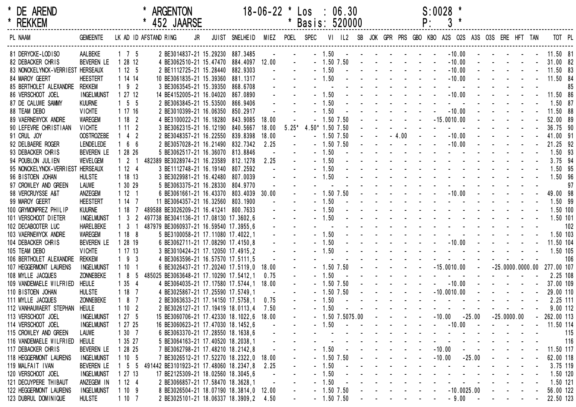| * DE AREND<br>* REKKEM           |                    |                     |    |                       | <b>ARGENTON</b><br>452 JAARSE          |    |                                              | $18 - 06 - 22$ |          | Los : 06.30<br>Basis: 520000 |         |                                                           |  |                                                                                       | P:                                                                                                                                                                                                                             | $S:0028$ *    |                         |                      |                                                                   |  |                                                                                                                                                                                                                                                                                |     |
|----------------------------------|--------------------|---------------------|----|-----------------------|----------------------------------------|----|----------------------------------------------|----------------|----------|------------------------------|---------|-----------------------------------------------------------|--|---------------------------------------------------------------------------------------|--------------------------------------------------------------------------------------------------------------------------------------------------------------------------------------------------------------------------------|---------------|-------------------------|----------------------|-------------------------------------------------------------------|--|--------------------------------------------------------------------------------------------------------------------------------------------------------------------------------------------------------------------------------------------------------------------------------|-----|
| PL NAAM                          | <b>GEMEENTE</b>    |                     |    | LK AD ID AFSTAND RING |                                        | JR | JUIST SNELHEID                               |                |          | MIEZ POEL SPEC               |         | VI IL2 SB JOK GPR PRS GBO KBO A2S O2S A3S O3S ERE HFT TAN |  |                                                                                       |                                                                                                                                                                                                                                |               |                         |                      |                                                                   |  | TOT PL                                                                                                                                                                                                                                                                         |     |
| 81 DERYCKE-LODISO                | AALBEKE            | $1 \quad 7 \quad 5$ |    |                       | 2 BE3014837-21 15.29230 887.3485       |    |                                              |                |          |                              |         | $-1.50$ $    -$                                           |  |                                                                                       |                                                                                                                                                                                                                                |               | $-10.00$                |                      |                                                                   |  | 11.50 81                                                                                                                                                                                                                                                                       |     |
| 82 DEBACKER CHRIS                | BEVEREN LE         | 1 28 12             |    |                       |                                        |    | 4 BE3062510-21 15.47470 884.4097 12.00       |                |          |                              |         | $-1.50$ $7.50$                                            |  | and the company of the second                                                         |                                                                                                                                                                                                                                |               | $-10.00$                |                      |                                                                   |  | 31.00 82                                                                                                                                                                                                                                                                       |     |
| 83 NONCKELYNCK-VERRIEST HERSEAUX |                    | 1125                |    |                       | 2 BE1112725-21 15.28440 882.9303       |    |                                              |                |          |                              | $-1.50$ |                                                           |  |                                                                                       |                                                                                                                                                                                                                                |               | $-10.00$                |                      |                                                                   |  | 11.50 83                                                                                                                                                                                                                                                                       |     |
| 84 MAROY GEERT                   | <b>HEESTERT</b>    | 1 14 14             |    |                       | 10 BE3061835-21 15.39360 881.1317      |    |                                              |                |          |                              | $-1.50$ |                                                           |  |                                                                                       |                                                                                                                                                                                                                                |               | $-10.00$                |                      |                                                                   |  | 11.50 84                                                                                                                                                                                                                                                                       |     |
| 85 BERTHOLET ALEXANDRE REKKEM    |                    | $192$               |    |                       | 3 BE3063545-21 15.39350 868.6708       |    |                                              |                |          |                              |         |                                                           |  |                                                                                       |                                                                                                                                                                                                                                |               |                         |                      |                                                                   |  |                                                                                                                                                                                                                                                                                | 85  |
| 86 VERSCHOOT JOEL                | <b>INGELMUNST</b>  | 1 27 12             |    |                       | 14 BE4152005-21 16.04020 867.0890      |    |                                              |                |          |                              | $-1.50$ |                                                           |  |                                                                                       | and the state of the state of the                                                                                                                                                                                              |               | $-10.00$                |                      |                                                                   |  | 11.50 86                                                                                                                                                                                                                                                                       |     |
| 87 DE CALUWE SAMMY               | <b>KUURNE</b>      | $1\quad5\quad5$     |    |                       | 2 BE3063845-21 15.53500 866.9406       |    |                                              |                |          |                              | $-1.50$ |                                                           |  |                                                                                       |                                                                                                                                                                                                                                |               |                         |                      |                                                                   |  | 1.50 87                                                                                                                                                                                                                                                                        |     |
| 88 TEAM DEBO                     | <b>VICHTE</b>      | 1 17 16             |    |                       | 2 BE3010399-21 16.06350 850.2917       |    |                                              |                |          |                              | $-1.50$ |                                                           |  |                                                                                       |                                                                                                                                                                                                                                |               | $-10.00$                |                      |                                                                   |  | 11.50 88                                                                                                                                                                                                                                                                       |     |
| 89 VAERNEWYCK ANDRE              | <b>WAREGEM</b>     | 1182                |    |                       |                                        |    | 4 BE3100022-21 16.18280 843.9085             | 18.00          |          |                              |         | $-1.50$ 7.50                                              |  |                                                                                       |                                                                                                                                                                                                                                | $-15.0010.00$ |                         |                      |                                                                   |  | 52.00 89                                                                                                                                                                                                                                                                       |     |
| 90 LEFEVRE CHRISTIAAN            | <b>VICHTE</b>      | 1112                |    |                       | 3 BE3062315-21 16.12190 840.5667       |    |                                              | 18.00          | $5.25*$  | 4.50* 1.50 7.50              |         |                                                           |  |                                                                                       |                                                                                                                                                                                                                                |               | $\Delta \phi = 0.000$   |                      |                                                                   |  | 36.75 90                                                                                                                                                                                                                                                                       |     |
| 91 CRUL JOY                      | <b>OOSTROZEBE</b>  | $142$               |    |                       |                                        |    | 2 BE3048357-21 16.22550 839.8398             | 18.00          |          |                              |         | $-1.50$ 7.50                                              |  | $-4.00$                                                                               | $\sim$                                                                                                                                                                                                                         |               | $-10.00$                |                      |                                                                   |  | 41.00 91                                                                                                                                                                                                                                                                       |     |
| 92 DELBAERE ROGER                | LENDELEDE          | 166                 |    |                       | 2 BE3057028-21 16.21490 832.7342       |    |                                              | 2.25           |          |                              |         | $-1.50$ 7.50                                              |  | $\mathcal{L}^{\mathcal{L}}(\mathbf{z})$ . The $\mathcal{L}^{\mathcal{L}}(\mathbf{z})$ |                                                                                                                                                                                                                                |               | $-10.00$                |                      |                                                                   |  | 21.25 92                                                                                                                                                                                                                                                                       |     |
| 93 DEBACKER CHRIS                | <b>BEVEREN LE</b>  | 1 28 26             |    |                       | 5 BE3062517-21 16.36070 813.8846       |    |                                              |                |          |                              | $-1.50$ |                                                           |  |                                                                                       |                                                                                                                                                                                                                                |               |                         |                      |                                                                   |  | 1.50 93                                                                                                                                                                                                                                                                        |     |
| 94 POUBLON JULIEN                | WEVELGEM           | 121                 |    |                       | 482389 BE3028974-21 16.23589 812.1278  |    |                                              | 2.25           |          |                              | $-1.50$ |                                                           |  |                                                                                       | the second contract of the second contract of the second contract of the second contract of the second contract of the second contract of the second contract of the second contract of the second contract of the second cont |               |                         |                      |                                                                   |  | 3.75 94                                                                                                                                                                                                                                                                        |     |
| 95 NONCKELYNCK-VERRIEST HERSEAUX |                    | 1124                |    |                       | 3 BE1112748-21 16.19140 807.2592       |    |                                              |                |          |                              | $-1.50$ |                                                           |  |                                                                                       |                                                                                                                                                                                                                                |               |                         |                      |                                                                   |  | 1.50 95                                                                                                                                                                                                                                                                        |     |
| 96 BISTOEN JOHAN                 | <b>HULSTE</b>      | 1 18 13             |    |                       | 3 BE3029981-21 16.42480 807.0039       |    |                                              |                |          |                              | $-1.50$ |                                                           |  |                                                                                       |                                                                                                                                                                                                                                |               |                         |                      |                                                                   |  | 1.50 96                                                                                                                                                                                                                                                                        |     |
| 97 CROWLEY AND GREEN             | LAUWE              | 1 30 29             |    |                       | 5 BE3063375-21 16.28330 804.9770       |    |                                              |                |          |                              |         |                                                           |  |                                                                                       |                                                                                                                                                                                                                                |               |                         |                      |                                                                   |  |                                                                                                                                                                                                                                                                                | 97  |
| 98 VERCRUYSSE A&T                | ANZEGEM            | 1121                |    |                       |                                        |    | 6 BE3061661-21 16.43370 803.4039             | 30.00          |          |                              |         | $-1.50$ 7.50                                              |  |                                                                                       |                                                                                                                                                                                                                                |               | $-10.00$                |                      |                                                                   |  | 49.00 98                                                                                                                                                                                                                                                                       |     |
| 99 MAROY GEERT                   | <b>HEESTERT</b>    | 1147                |    |                       | 11 BE3064357-21 16.32560 803.1900      |    |                                              |                |          |                              | $-1.50$ |                                                           |  |                                                                                       | the contract of the contract of the contract of                                                                                                                                                                                |               |                         |                      |                                                                   |  | 1.50 99                                                                                                                                                                                                                                                                        |     |
| 100 GRYMONPREZ PHILIP            | <b>KUURNE</b>      | 118                 |    |                       | 489588 BE3026209-21 16.41241 800.7633  |    |                                              |                |          |                              | $-1.50$ |                                                           |  |                                                                                       | the contract of the contract of the contract of the contract of the contract of the contract of the contract of                                                                                                                |               |                         |                      |                                                                   |  | 1.50 100                                                                                                                                                                                                                                                                       |     |
| 101 VERSCHOOT DIETER             | <b>INGELMUNST</b>  | 1 <sub>3</sub>      | -2 |                       | 497738 BE3041136-21 17.08130 17.3602,6 |    |                                              |                |          |                              | $-1.50$ |                                                           |  |                                                                                       | the contract of the contract of the contract of                                                                                                                                                                                |               |                         |                      |                                                                   |  | 1.50 101                                                                                                                                                                                                                                                                       |     |
| 102 DECABOOTER LUC               | <b>HARELBEKE</b>   | $1 \quad 3 \quad 1$ |    |                       | 487979 BE3060937-21 16.59540 17.3955,6 |    |                                              |                |          |                              |         |                                                           |  |                                                                                       | design and a state of the state of the                                                                                                                                                                                         |               |                         |                      |                                                                   |  |                                                                                                                                                                                                                                                                                | 102 |
| 103 VAERNEWYCK ANDRE             | WAREGEM            | 1188                |    |                       | 5 BE3100058-21 17.11080 17.4022,1      |    |                                              |                |          |                              | $-1.50$ |                                                           |  |                                                                                       |                                                                                                                                                                                                                                |               |                         |                      |                                                                   |  | 1.50 103                                                                                                                                                                                                                                                                       |     |
| 104 DEBACKER CHRIS               | BEVEREN LE         | 1 28 19             |    |                       | 6 BE3062711-21 17.08290 17.4150,8      |    |                                              |                |          |                              | $-1.50$ |                                                           |  |                                                                                       |                                                                                                                                                                                                                                |               | $-10.00 -$              |                      |                                                                   |  | 11.50 104                                                                                                                                                                                                                                                                      |     |
| 105 TEAM DEBO                    | <b>VICHTE</b>      | 1 17 13             |    |                       | 3 BE3010424-21 17.12050 17.4915,2      |    |                                              |                |          |                              | $-1.50$ |                                                           |  |                                                                                       |                                                                                                                                                                                                                                |               |                         |                      |                                                                   |  | 1.50 105                                                                                                                                                                                                                                                                       |     |
| 106 BERTHOLET ALEXANDRE          | <b>REKKEM</b>      | $193$               |    |                       | 4 BE3063596-21 16.57570 17.5111,5      |    |                                              |                |          |                              |         |                                                           |  |                                                                                       |                                                                                                                                                                                                                                |               |                         |                      |                                                                   |  |                                                                                                                                                                                                                                                                                | 106 |
| 107 HEGGERMONT LAURENS           | <b>INGELMUNST</b>  | 1101                |    |                       |                                        |    | 6 BE3026437-21 17.20240 17.5119,0            | 18.00          | $\omega$ |                              |         | $-1.50$ 7.50                                              |  | <b>Carl Carl Carl</b>                                                                 |                                                                                                                                                                                                                                | $-15.0010.00$ |                         | $\sim 100$           |                                                                   |  | $-25.0000.0000.00$ 277.00 107                                                                                                                                                                                                                                                  |     |
| 108 MYLLE JACQUES                | ZONNEBEKE          | $1 \quad 8$         | 5  |                       | 485025 BE3063648-21 17.10290 17.5412,1 |    |                                              | 0.75           |          |                              | $-1.50$ |                                                           |  |                                                                                       |                                                                                                                                                                                                                                |               | $\omega_{\rm{eff}}=2.0$ |                      |                                                                   |  | 2.25 108                                                                                                                                                                                                                                                                       |     |
| 109 VANDEMAELE WILFRIED          | HEULE              | 1354                |    |                       |                                        |    | 4 BE3064035-21 17.17580 17.5744,1            | 18.00          |          |                              |         | $-1.50$ 7.50                                              |  |                                                                                       |                                                                                                                                                                                                                                |               | $-10.00$                |                      |                                                                   |  | 37.00 109                                                                                                                                                                                                                                                                      |     |
| 110 BISTOEN JOHAN                | <b>HULSTE</b>      | 1187                |    |                       | 4 BE3025867-21 17.25590 17.5749,1      |    |                                              |                |          |                              |         | $-1.50$ 7.50                                              |  |                                                                                       |                                                                                                                                                                                                                                | $-10.0010.00$ |                         |                      | $\mathcal{L}(\mathcal{L})$ , and $\mathcal{L}(\mathcal{L})$ , and |  | 29.00 110                                                                                                                                                                                                                                                                      |     |
| 111 MYLLE JACQUES                | ZONNEBEKE          | $187$               |    |                       | 2 BE3063633-21 17.14150 17.5758,1      |    |                                              | 0.75           |          |                              | $-1.50$ |                                                           |  |                                                                                       |                                                                                                                                                                                                                                |               |                         |                      |                                                                   |  | 2.25 111                                                                                                                                                                                                                                                                       |     |
| 112 VANHAUWAERT STEPHAN          | <b>HEULE</b>       | 1102                |    |                       | 2 BE3026127-21 17.19419 18.0113,4      |    |                                              | 7.50           |          |                              | $-1.50$ |                                                           |  |                                                                                       |                                                                                                                                                                                                                                |               |                         |                      |                                                                   |  | 9.00 112                                                                                                                                                                                                                                                                       |     |
| 113 VERSCHOOT JOEL               | <b>INGELMUNST</b>  | 1 27 5              |    |                       |                                        |    | 15 BE3060706-21 17.42330 18.1022,6 18.00     |                |          |                              |         | $-1.50$ $7.5075.00$ $    -10.00$                          |  |                                                                                       |                                                                                                                                                                                                                                |               |                         | $-25.00 -25.0000.00$ |                                                                   |  | $-262.00$ 113                                                                                                                                                                                                                                                                  |     |
| 114 VERSCHOOT JOEL               | <b>INGELMUNST</b>  | 1 27 25             |    |                       | 16 BE3060623-21 17.47030 18.1452,6     |    |                                              | $\sim$ $-$     |          |                              |         | $-1.50$ $        -10.00$ $   -$                           |  |                                                                                       |                                                                                                                                                                                                                                |               |                         |                      |                                                                   |  | $-11.50$ 114                                                                                                                                                                                                                                                                   |     |
| 115 CROWLEY AND GREEN            | LAUWE              | 1307                |    |                       |                                        |    | 6 BE3063370-21 17.28550 18.1638,6            |                |          |                              |         |                                                           |  |                                                                                       |                                                                                                                                                                                                                                |               |                         |                      |                                                                   |  | $-1.50$<br>$-1.50$<br>$-1.50$<br>$-1.50$<br>$-1.50$<br>$-1.50$<br>$-1.50$<br>$-1.50$<br>$-1.50$<br>$-1.50$<br>$-1.50$<br>$-1.50$<br>$-1.50$<br>$-1.50$<br>$-1.50$<br>$-1.50$<br>$-1.50$<br>$-1.50$<br>$-1.50$<br>$-1.50$<br>$-1.50$<br>$-1.50$<br>$-1.50$<br>$-1.50$<br>$-1.5$ |     |
| 116 VANDEMAELE WILFRIED          | HEULE              | 1 35 27             |    |                       |                                        |    | 5 BE3064163-21 17.40520 18.2038,1            |                |          |                              |         |                                                           |  |                                                                                       |                                                                                                                                                                                                                                |               |                         |                      |                                                                   |  |                                                                                                                                                                                                                                                                                |     |
| 117 DEBACKER CHRIS               | BEVEREN LE 1 28 25 |                     |    |                       |                                        |    | 7 BE3062798-21 17.48210 18.2142,8            |                |          |                              |         |                                                           |  |                                                                                       |                                                                                                                                                                                                                                |               |                         |                      |                                                                   |  |                                                                                                                                                                                                                                                                                |     |
| 118 HEGGERMONT LAURENS           | <b>INGELMUNST</b>  | 1 10 5              |    |                       |                                        |    | 7 BE3026512-21 17.52270 18.2322,0 18.00      |                |          |                              |         | $-1.50$ 7.50 $     -10.00$ $-25.00$ $   -$                |  |                                                                                       |                                                                                                                                                                                                                                |               |                         |                      |                                                                   |  | 62.00 118                                                                                                                                                                                                                                                                      |     |
| 119 MALFAIT IVAN                 | BEVEREN LE         |                     |    |                       |                                        |    | 1 5 5 491442 BE3101923-21 17.48060 18.2347,8 | 2.25           |          |                              |         |                                                           |  |                                                                                       |                                                                                                                                                                                                                                |               |                         |                      |                                                                   |  | 3.75 119                                                                                                                                                                                                                                                                       |     |
| 120 VERSCHOOT JOEL               | <b>INGELMUNST</b>  | 1 27 13             |    |                       |                                        |    | 17 BE2125309-21 18.02560 18.3045,6           |                |          |                              |         |                                                           |  |                                                                                       |                                                                                                                                                                                                                                |               |                         |                      |                                                                   |  | 1.50 120                                                                                                                                                                                                                                                                       |     |
| 121 DECUYPERE THIBAUT            | ANZEGEM IN 112 4   |                     |    |                       |                                        |    | 2 BE3066857-21 17.58470 18.3628,1            |                |          |                              |         |                                                           |  |                                                                                       |                                                                                                                                                                                                                                |               |                         |                      |                                                                   |  | 1.50 121                                                                                                                                                                                                                                                                       |     |
| 122 HEGGERMONT LAURENS           | <b>INGELMUNST</b>  | 1109                |    |                       |                                        |    | 8 BE3026504-21 18.07190 18.3814,0 12.00      |                | $\sim$   |                              |         | $-1.507.50$ $     -10.0025.00$ $  -$                      |  |                                                                                       |                                                                                                                                                                                                                                |               |                         |                      |                                                                   |  | 56.00 122                                                                                                                                                                                                                                                                      |     |
| 123 DUBRUL DOMINIQUE             | <b>HULSTE</b>      | 1 10 7              |    |                       |                                        |    | 2 BE3025101-21 18.06337 18.3909,2 4.50 -     |                |          |                              |         |                                                           |  |                                                                                       |                                                                                                                                                                                                                                |               |                         |                      |                                                                   |  | - 1.50 7.50 - - - - - - - - 9.00 - - - - - - 22.50 123                                                                                                                                                                                                                         |     |